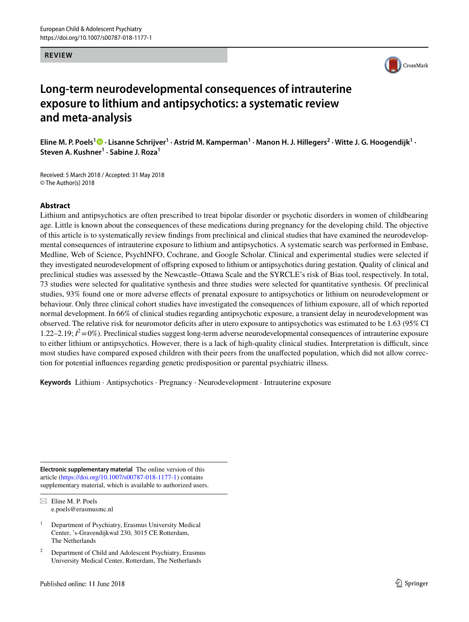#### **REVIEW**



# **Long‑term neurodevelopmental consequences of intrauterine exposure to lithium and antipsychotics: a systematic review and meta‑analysis**

ElineM. P. Poels<sup>1</sup> <sup>D</sup> · Lisanne Schrijver<sup>1</sup> · Astrid M. Kamperman<sup>1</sup> · Manon H. J. Hillegers<sup>2</sup> · Witte J. G. Hoogendijk<sup>1</sup> · **Steven A. Kushner1 · Sabine J. Roza1**

Received: 5 March 2018 / Accepted: 31 May 2018 © The Author(s) 2018

### **Abstract**

Lithium and antipsychotics are often prescribed to treat bipolar disorder or psychotic disorders in women of childbearing age. Little is known about the consequences of these medications during pregnancy for the developing child. The objective of this article is to systematically review fndings from preclinical and clinical studies that have examined the neurodevelopmental consequences of intrauterine exposure to lithium and antipsychotics. A systematic search was performed in Embase, Medline, Web of Science, PsychINFO, Cochrane, and Google Scholar. Clinical and experimental studies were selected if they investigated neurodevelopment of ofspring exposed to lithium or antipsychotics during gestation. Quality of clinical and preclinical studies was assessed by the Newcastle–Ottawa Scale and the SYRCLE's risk of Bias tool, respectively. In total, 73 studies were selected for qualitative synthesis and three studies were selected for quantitative synthesis. Of preclinical studies, 93% found one or more adverse efects of prenatal exposure to antipsychotics or lithium on neurodevelopment or behaviour. Only three clinical cohort studies have investigated the consequences of lithium exposure, all of which reported normal development. In 66% of clinical studies regarding antipsychotic exposure, a transient delay in neurodevelopment was observed. The relative risk for neuromotor defcits after in utero exposure to antipsychotics was estimated to be 1.63 (95% CI 1.22–2.19;  $I^2 = 0\%$ ). Preclinical studies suggest long-term adverse neurodevelopmental consequences of intrauterine exposure to either lithium or antipsychotics. However, there is a lack of high-quality clinical studies. Interpretation is difficult, since most studies have compared exposed children with their peers from the unafected population, which did not allow correction for potential infuences regarding genetic predisposition or parental psychiatric illness.

**Keywords** Lithium · Antipsychotics · Pregnancy · Neurodevelopment · Intrauterine exposure

**Electronic supplementary material** The online version of this article [\(https://doi.org/10.1007/s00787-018-1177-1\)](https://doi.org/10.1007/s00787-018-1177-1) contains supplementary material, which is available to authorized users.

- <sup>1</sup> Department of Psychiatry, Erasmus University Medical Center, 's-Gravendijkwal 230, 3015 CE Rotterdam, The Netherlands
- <sup>2</sup> Department of Child and Adolescent Psychiatry, Erasmus University Medical Center, Rotterdam, The Netherlands

 $\boxtimes$  Eline M. P. Poels e.poels@erasmusmc.nl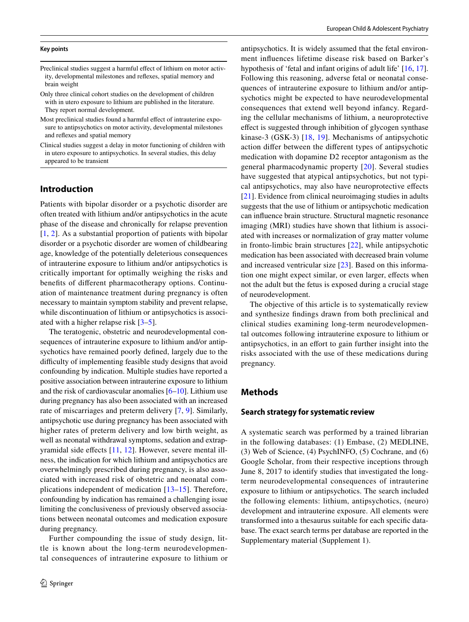#### **Key points**

- Preclinical studies suggest a harmful effect of lithium on motor activity, developmental milestones and refexes, spatial memory and brain weight
- Only three clinical cohort studies on the development of children with in utero exposure to lithium are published in the literature. They report normal development.
- Most preclinical studies found a harmful effect of intrauterine exposure to antipsychotics on motor activity, developmental milestones and refexes and spatial memory
- Clinical studies suggest a delay in motor functioning of children with in utero exposure to antipsychotics. In several studies, this delay appeared to be transient

### **Introduction**

Patients with bipolar disorder or a psychotic disorder are often treated with lithium and/or antipsychotics in the acute phase of the disease and chronically for relapse prevention  $[1, 2]$  $[1, 2]$  $[1, 2]$  $[1, 2]$ . As a substantial proportion of patients with bipolar disorder or a psychotic disorder are women of childbearing age, knowledge of the potentially deleterious consequences of intrauterine exposure to lithium and/or antipsychotics is critically important for optimally weighing the risks and benefts of diferent pharmacotherapy options. Continuation of maintenance treatment during pregnancy is often necessary to maintain symptom stability and prevent relapse, while discontinuation of lithium or antipsychotics is associated with a higher relapse risk [\[3](#page-17-2)[–5](#page-17-3)].

The teratogenic, obstetric and neurodevelopmental consequences of intrauterine exposure to lithium and/or antipsychotics have remained poorly defned, largely due to the difficulty of implementing feasible study designs that avoid confounding by indication. Multiple studies have reported a positive association between intrauterine exposure to lithium and the risk of cardiovascular anomalies  $[6–10]$  $[6–10]$ . Lithium use during pregnancy has also been associated with an increased rate of miscarriages and preterm delivery [[7,](#page-17-6) [9](#page-17-7)]. Similarly, antipsychotic use during pregnancy has been associated with higher rates of preterm delivery and low birth weight, as well as neonatal withdrawal symptoms, sedation and extrap-yramidal side effects [[11](#page-17-8), [12\]](#page-17-9). However, severe mental illness, the indication for which lithium and antipsychotics are overwhelmingly prescribed during pregnancy, is also associated with increased risk of obstetric and neonatal complications independent of medication [[13–](#page-17-10)[15](#page-17-11)]. Therefore, confounding by indication has remained a challenging issue limiting the conclusiveness of previously observed associations between neonatal outcomes and medication exposure during pregnancy.

Further compounding the issue of study design, little is known about the long-term neurodevelopmental consequences of intrauterine exposure to lithium or antipsychotics. It is widely assumed that the fetal environment infuences lifetime disease risk based on Barker's hypothesis of 'fetal and infant origins of adult life' [\[16](#page-17-12), [17](#page-17-13)]. Following this reasoning, adverse fetal or neonatal consequences of intrauterine exposure to lithium and/or antipsychotics might be expected to have neurodevelopmental consequences that extend well beyond infancy. Regarding the cellular mechanisms of lithium, a neuroprotective efect is suggested through inhibition of glycogen synthase kinase-3 (GSK-3) [[18](#page-17-14), [19](#page-17-15)]. Mechanisms of antipsychotic action difer between the diferent types of antipsychotic medication with dopamine D2 receptor antagonism as the general pharmacodynamic property [[20](#page-18-0)]. Several studies have suggested that atypical antipsychotics, but not typical antipsychotics, may also have neuroprotective efects [[21\]](#page-18-1). Evidence from clinical neuroimaging studies in adults suggests that the use of lithium or antipsychotic medication can infuence brain structure. Structural magnetic resonance imaging (MRI) studies have shown that lithium is associated with increases or normalization of gray matter volume in fronto-limbic brain structures [\[22](#page-18-2)], while antipsychotic medication has been associated with decreased brain volume and increased ventricular size [[23\]](#page-18-3). Based on this information one might expect similar, or even larger, efects when not the adult but the fetus is exposed during a crucial stage of neurodevelopment.

The objective of this article is to systematically review and synthesize fndings drawn from both preclinical and clinical studies examining long-term neurodevelopmental outcomes following intrauterine exposure to lithium or antipsychotics, in an effort to gain further insight into the risks associated with the use of these medications during pregnancy.

### **Methods**

### **Search strategy for systematic review**

A systematic search was performed by a trained librarian in the following databases: (1) Embase, (2) MEDLINE, (3) Web of Science, (4) PsychINFO, (5) Cochrane, and (6) Google Scholar, from their respective inceptions through June 8, 2017 to identify studies that investigated the longterm neurodevelopmental consequences of intrauterine exposure to lithium or antipsychotics. The search included the following elements: lithium, antipsychotics, (neuro) development and intrauterine exposure. All elements were transformed into a thesaurus suitable for each specifc database. The exact search terms per database are reported in the Supplementary material (Supplement 1).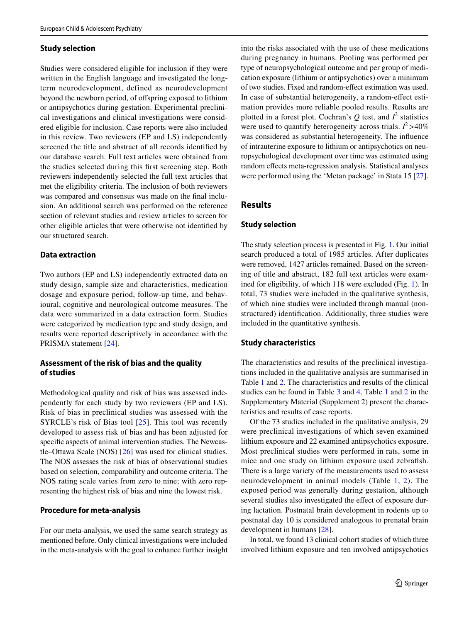#### **Study selection**

Studies were considered eligible for inclusion if they were written in the English language and investigated the longterm neurodevelopment, defined as neurodevelopment beyond the newborn period, of ofspring exposed to lithium or antipsychotics during gestation. Experimental preclinical investigations and clinical investigations were considered eligible for inclusion. Case reports were also included in this review. Two reviewers (EP and LS) independently screened the title and abstract of all records identifed by our database search. Full text articles were obtained from the studies selected during this frst screening step. Both reviewers independently selected the full text articles that met the eligibility criteria. The inclusion of both reviewers was compared and consensus was made on the fnal inclusion. An additional search was performed on the reference section of relevant studies and review articles to screen for other eligible articles that were otherwise not identifed by our structured search.

### **Data extraction**

Two authors (EP and LS) independently extracted data on study design, sample size and characteristics, medication dosage and exposure period, follow-up time, and behavioural, cognitive and neurological outcome measures. The data were summarized in a data extraction form. Studies were categorized by medication type and study design, and results were reported descriptively in accordance with the PRISMA statement [[24\]](#page-18-4).

### **Assessment of the risk of bias and the quality of studies**

Methodological quality and risk of bias was assessed independently for each study by two reviewers (EP and LS). Risk of bias in preclinical studies was assessed with the SYRCLE's risk of Bias tool [[25](#page-18-5)]. This tool was recently developed to assess risk of bias and has been adjusted for specifc aspects of animal intervention studies. The Newcastle–Ottawa Scale (NOS) [[26\]](#page-18-6) was used for clinical studies. The NOS assesses the risk of bias of observational studies based on selection, comparability and outcome criteria. The NOS rating scale varies from zero to nine; with zero representing the highest risk of bias and nine the lowest risk.

### **Procedure for meta‑analysis**

For our meta-analysis, we used the same search strategy as mentioned before. Only clinical investigations were included in the meta-analysis with the goal to enhance further insight into the risks associated with the use of these medications during pregnancy in humans. Pooling was performed per type of neuropsychological outcome and per group of medication exposure (lithium or antipsychotics) over a minimum of two studies. Fixed and random-efect estimation was used. In case of substantial heterogeneity, a random-efect estimation provides more reliable pooled results. Results are plotted in a forest plot. Cochran's  $Q$  test, and  $I^2$  statistics were used to quantify heterogeneity across trials.  $l^2$  >40% was considered as substantial heterogeneity. The infuence of intrauterine exposure to lithium or antipsychotics on neuropsychological development over time was estimated using random efects meta-regression analysis. Statistical analyses were performed using the 'Metan package' in Stata 15 [\[27](#page-18-7)].

### **Results**

#### **Study selection**

The study selection process is presented in Fig. [1.](#page-3-0) Our initial search produced a total of 1985 articles. After duplicates were removed, 1427 articles remained. Based on the screening of title and abstract, 182 full text articles were examined for eligibility, of which 118 were excluded (Fig. [1](#page-3-0)). In total, 73 studies were included in the qualitative synthesis, of which nine studies were included through manual (nonstructured) identifcation. Additionally, three studies were included in the quantitative synthesis.

### **Study characteristics**

The characteristics and results of the preclinical investigations included in the qualitative analysis are summarised in Table [1](#page-4-0) and [2](#page-5-0). The characteristics and results of the clinical studies can be found in Table [3](#page-9-0) and [4.](#page-10-0) Table [1](#page-4-0) and [2](#page-5-0) in the Supplementary Material (Supplement 2) present the characteristics and results of case reports.

Of the 73 studies included in the qualitative analysis, 29 were preclinical investigations of which seven examined lithium exposure and 22 examined antipsychotics exposure. Most preclinical studies were performed in rats, some in mice and one study on lithium exposure used zebrafsh. There is a large variety of the measurements used to assess neurodevelopment in animal models (Table [1,](#page-4-0) [2\)](#page-5-0). The exposed period was generally during gestation, although several studies also investigated the effect of exposure during lactation. Postnatal brain development in rodents up to postnatal day 10 is considered analogous to prenatal brain development in humans [[28\]](#page-18-8).

In total, we found 13 clinical cohort studies of which three involved lithium exposure and ten involved antipsychotics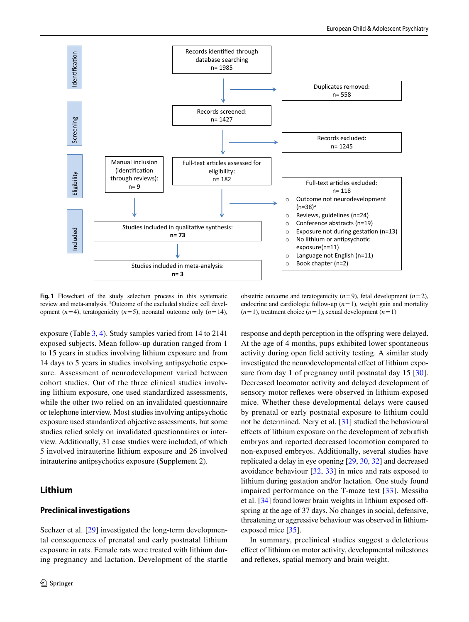

<span id="page-3-0"></span>**Fig. 1** Flowchart of the study selection process in this systematic review and meta-analysis. <sup>a</sup>Outcome of the excluded studies: cell development  $(n=4)$ , teratogenicity  $(n=5)$ , neonatal outcome only  $(n=14)$ ,

exposure (Table [3,](#page-9-0) [4](#page-10-0)). Study samples varied from 14 to 2141 exposed subjects. Mean follow-up duration ranged from 1 to 15 years in studies involving lithium exposure and from 14 days to 5 years in studies involving antipsychotic exposure. Assessment of neurodevelopment varied between cohort studies. Out of the three clinical studies involving lithium exposure, one used standardized assessments, while the other two relied on an invalidated questionnaire or telephone interview. Most studies involving antipsychotic exposure used standardized objective assessments, but some studies relied solely on invalidated questionnaires or interview. Additionally, 31 case studies were included, of which 5 involved intrauterine lithium exposure and 26 involved intrauterine antipsychotics exposure (Supplement 2).

# **Lithium**

### **Preclinical investigations**

Sechzer et al. [[29\]](#page-18-9) investigated the long-term developmental consequences of prenatal and early postnatal lithium exposure in rats. Female rats were treated with lithium during pregnancy and lactation. Development of the startle

obstetric outcome and teratogenicity  $(n=9)$ , fetal development  $(n=2)$ , endocrine and cardiologic follow-up  $(n=1)$ , weight gain and mortality  $(n=1)$ , treatment choice  $(n=1)$ , sexual development  $(n=1)$ 

response and depth perception in the ofspring were delayed. At the age of 4 months, pups exhibited lower spontaneous activity during open feld activity testing. A similar study investigated the neurodevelopmental effect of lithium expo-sure from day 1 of pregnancy until postnatal day 15 [[30](#page-18-10)]. Decreased locomotor activity and delayed development of sensory motor refexes were observed in lithium-exposed mice. Whether these developmental delays were caused by prenatal or early postnatal exposure to lithium could not be determined. Nery et al. [[31\]](#page-18-11) studied the behavioural efects of lithium exposure on the development of zebrafsh embryos and reported decreased locomotion compared to non-exposed embryos. Additionally, several studies have replicated a delay in eye opening [\[29,](#page-18-9) [30](#page-18-10), [32](#page-18-12)] and decreased avoidance behaviour [[32,](#page-18-12) [33\]](#page-18-13) in mice and rats exposed to lithium during gestation and/or lactation. One study found impaired performance on the T-maze test [[33\]](#page-18-13). Messiha et al. [\[34](#page-18-14)] found lower brain weights in lithium exposed offspring at the age of 37 days. No changes in social, defensive, threatening or aggressive behaviour was observed in lithiumexposed mice [[35](#page-18-15)].

In summary, preclinical studies suggest a deleterious efect of lithium on motor activity, developmental milestones and refexes, spatial memory and brain weight.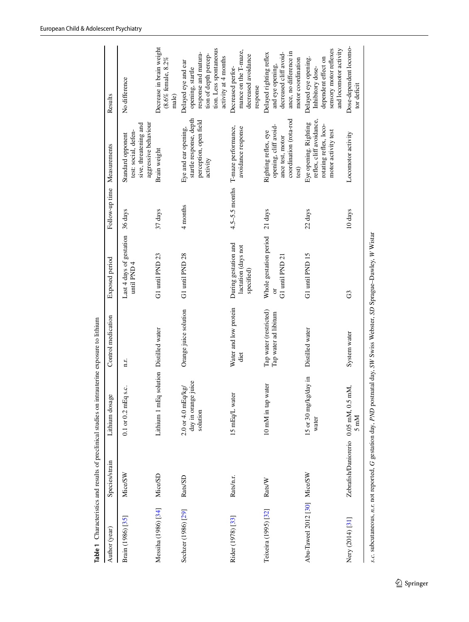<span id="page-4-0"></span>

|                              |                                       | Table 1 Characteristics and results of preclinical studies on intrauterine exposure to lithium                          |                                                |                                                           |                |                                                                                                      |                                                                                                                                            |
|------------------------------|---------------------------------------|-------------------------------------------------------------------------------------------------------------------------|------------------------------------------------|-----------------------------------------------------------|----------------|------------------------------------------------------------------------------------------------------|--------------------------------------------------------------------------------------------------------------------------------------------|
| Author (year)                | Species/strain                        | Lithium dosage                                                                                                          | Control medication                             | Exposed period                                            | Follow-up time | Measurements                                                                                         | Results                                                                                                                                    |
| Brain (1986) [35]            | Mice/SW                               | S.C.<br>$0.1$ or $0.2$ mEq                                                                                              | n.r.                                           | Last 4 days of gestation<br>until PND 4                   | 36 days        | aggressive behaviour<br>sive, threatening and<br>test: social, defen-<br>Standard opponent           | No difference                                                                                                                              |
| Messiha (1986) [34]          | Mice/SD                               | Lithium 1 mEq solution Distilled water                                                                                  |                                                | G1 until PND 23                                           | 37 days        | Brain weight                                                                                         | Decrease in brain weight<br>(8.6% female, 8.2%<br>male)                                                                                    |
| Sechzer (1986) [29]          | <b>Rats/SD</b>                        | day in orange juice<br>$2.0$ or 4.0 mEq/kg/<br>solution                                                                 | Orange juice solution                          | G1 until PND 28                                           | 4 months       | startle response, depth<br>perception, open field<br>Eye and ear opening,<br>activity                | tion. Less spontaneous<br>response and matura-<br>tion of depth percep-<br>activity at 4 months<br>Delayed eye and ear<br>opening, startle |
| Rider (1978) [33]            | Rats/n.r.                             | 15 mEq/L water                                                                                                          | Water and low protein<br>diet                  | During gestation and<br>lactation (days not<br>specified) |                | 4.5-5.5 months T-maze performance,<br>avoidance response                                             | mance on the T-maze,<br>decreased avoidance<br>Decreased perfor-<br>response                                                               |
| Teixeira (1995) [32]         | <b>Rats/W</b>                         | 10 mM in tap water                                                                                                      | Tap water (restricted)<br>Tap water ad libitum | Whole gestation period<br>G1 until PND 21<br>ð            | 21 days        | coordination (rota-rod<br>opening, cliff avoid-<br>Righting reflex, eye<br>ance test, motor<br>test) | ance, no difference in<br>Delayed righting reflex<br>decreased cliff avoid-<br>motor coordination<br>and eye opening,                      |
| Abu-Taweel 2012 [30] Mice/SW |                                       | 15 or 30 mg/kg/day in<br>water                                                                                          | Distilled water                                | G1 until PND 15                                           | 22 days        | reflex, cliff avoidance,<br>Eye opening. Righting<br>rotating reflex, loco-<br>motor activity test   | and locomotor activity<br>sensory motor reflexes<br>Delayed eye opening.<br>dependent effect on<br>Inhibitory dose-                        |
| Nery (2014) [31]             | Zebrafish/Daniorerio 0.05 mM, 0.5 mM, | $5 \text{ mM}$                                                                                                          | System water                                   | G                                                         | 10 days        | Locomotor activity                                                                                   | Dose-dependent locomo-<br>tor deficit                                                                                                      |
|                              |                                       | s.c. subcutaneous, n.r. not reported, G gestation day, PND postnatal day, SW Swiss Webster, SD Sprague-Dawley, W Wistar |                                                |                                                           |                |                                                                                                      |                                                                                                                                            |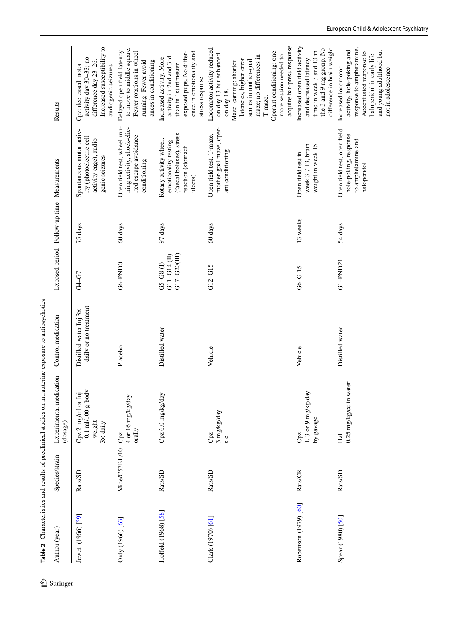<span id="page-5-0"></span>Table 2 Characteristics and results of preclinical studies on intrauterine exposure to antipsychotics

| Author (year)         | Species/strain | Experimental medication<br>(dosage)                           | Control medication                              |                                                         | Exposed period Follow-up time Measurements |                                                                                                            | Results                                                                                                                                                                                                                                                                     |
|-----------------------|----------------|---------------------------------------------------------------|-------------------------------------------------|---------------------------------------------------------|--------------------------------------------|------------------------------------------------------------------------------------------------------------|-----------------------------------------------------------------------------------------------------------------------------------------------------------------------------------------------------------------------------------------------------------------------------|
| Jewett (1966) [59]    | Rats/SD        | Cpz 2 mg/ml or Inj<br>0.1 ml/100 g body<br>weight<br>3x daily | daily or no treatment<br>Distilled water Inj 3x | $G4-G7$                                                 | 75 days                                    | Spontaneous motor activ-<br>ity (photoelectric cell<br>activity cage), audio-<br>genic seizures            | Increased susceptibility to<br>activity day 30-33; no<br>difference day 23-26.<br>Cpz: decreased motor<br>audiogenic seizures                                                                                                                                               |
| Ordy (1966) [63]      | Mice/C57BL/10  | 4 or 16 mg/kg/day<br>orally<br>Cpx                            | Placebo                                         | G6-PND0                                                 | 60 days                                    | Open field test, wheel run-<br>ning activity, shock-elic-<br>ited escape avoidance<br>conditioning         | to move to middle square.<br>Delayed open field latency<br>Fewer rotations in wheel<br>running. Fewer avoid-<br>ances in conditioning                                                                                                                                       |
| Hoffeld (1968) [58]   | Rats/SD        | Cpz 6.0 mg/kg/day                                             | Distilled water                                 | $G11-G14$ <sup>(I)</sup><br>G17-G20(III)<br>$G5-G8$ (I) | 97 days                                    | (faecal boluses), stress<br>Rotary activity wheel,<br>emotionality testing<br>reaction (stomach<br>ulcers) | ence in emotionality and<br>exposed pups. No differ-<br>activity in 2nd and 3rd<br>Increased activity. More<br>than in 1st trimester<br>stress response                                                                                                                     |
| Clark (1970) [61]     | Rats/SD        | 3 mg/kg/day<br>Cpx<br>s.c.                                    | Vehicle                                         | $G12 - G15$                                             | 60 days                                    | mother-goal maze, oper-<br>Open field test, T-maze,<br>ant conditioning                                    | acquire bar-press response<br>Locomotor activity reduced<br>Operant conditioning: one<br>on day 13 but enhanced<br>more session needed to<br>maze; no differences in<br>latencies, higher error<br>scores in mother-goal<br>Maze learning: shorter<br>on day 18.<br>T-maze. |
| Robertson (1979) [60] | <b>Rats/CR</b> | 1, 3 or 9 mg/kg/day<br>by gavage<br>Cpz                       | Vehicle                                         | $G6-G15$                                                | 13 weeks                                   | week 3,7,13, brain<br>weight in week 15<br>Open field test in                                              | Increased open field activity<br>the 3 and 9 mg group. No<br>difference in brain weight<br>time in week 3 and 13 in<br>and decreased latency                                                                                                                                |
| Spear (1980) [50]     | Rats/SD        | 0.25 mg/kg/cc in water<br>Hal                                 | Distilled water                                 | G1-PND21                                                | 54 days                                    | Open field test, open field<br>hole-poking, response<br>to amphetamine and<br>haloperidol                  | response to amphetamine.<br>activity, hole-poking and<br>and young adulthood but<br>Accentuated response to<br>haloperidol in early life<br>Increased locomotor<br>not in adolescence                                                                                       |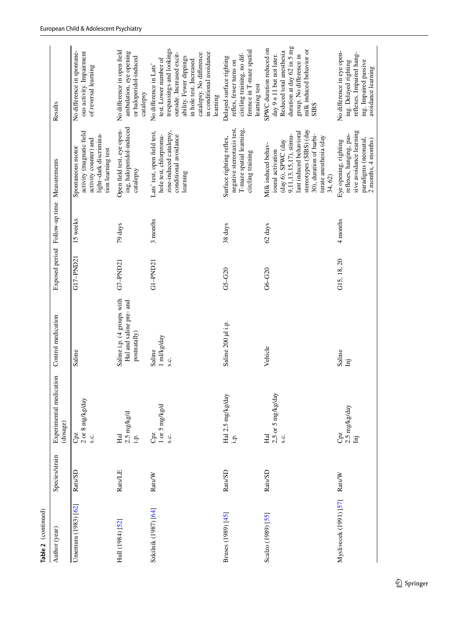| Table 2 (continued)    |                |                                     |                                                                       |             |                                            |                                                                                                                                                                                                               |                                                                                                                                                                                                                                     |
|------------------------|----------------|-------------------------------------|-----------------------------------------------------------------------|-------------|--------------------------------------------|---------------------------------------------------------------------------------------------------------------------------------------------------------------------------------------------------------------|-------------------------------------------------------------------------------------------------------------------------------------------------------------------------------------------------------------------------------------|
| Author (year)          | Species/strain | Experimental medication<br>(dosage) | Control medication                                                    |             | Exposed period Follow-up time Measurements |                                                                                                                                                                                                               | Results                                                                                                                                                                                                                             |
| Umemura (1983) [62]    | <b>Rats/SD</b> | 2 or 8 mg/kg/day<br>Cpz<br>s.c.     | Saline                                                                | G17-PND21   | 15 weeks                                   | activity (magnatic field<br>light-dark discrimina-<br>activity counter) and<br>Spontaneous motor<br>tion learning test                                                                                        | No difference in spontane-<br>ous activity. Impairment<br>of reversal learning                                                                                                                                                      |
| Hull (1984) [52]       | Rats/LE        | $2.5$ mg/kg/d i.p.<br>Hal           | Saline i.p. (4 groups with<br>Hal and saline pre- and<br>postnatally) | G7-PND21    | 79 days                                    | ing, haloperidol-induced<br>Open field test, eye open-<br>catalepsy                                                                                                                                           | No difference in open field<br>ambulation, eye opening<br>or haloperidol-induced<br>catalepsy                                                                                                                                       |
| Szkilnik (1987) [64]   | <b>Rats/W</b>  | 1 or 5 mg/kg/d<br>Cpz<br>s.c.       | 1 ml/kg/day<br>Saline<br>S.C.                                         | $G1-PND21$  | 3 months                                   | Lats' test, open field test,<br>zine-induced catalepsy,<br>hole test, chlorproma-<br>conditional avoidance<br>learning                                                                                        | trespassings and lookings<br>in conditional avoidance<br>outside. Increased excit-<br>catalepsy. No difference<br>ability. Fewer dippings<br>test. Lower number of<br>in hole test. Increased<br>No difference in Lats'<br>learning |
| Bruses (1989) [45]     | Rats/SD        | Hal 2.5 mg/kg/day<br>i.p.           | Saline 200 µl i.p.                                                    | $G5-G20$    | 38 days                                    | negative stereotaxis test,<br>T-maze spatial learning.<br>Surface righting reflex,<br>circling training                                                                                                       | ference in T-maze spatial<br>circling training, no dif-<br>Delayed surface righting<br>reflex, fewer turns on<br>learning test                                                                                                      |
| Scalzo (1989) [55]     | <b>Rats/SD</b> | 2,5 or 5 mg/kg/day<br>Hal<br>S.C.   | Vehicle                                                               | $G6 - G20$  | 62 days                                    | stereotypes (SIBS) (day<br>lant induced behavioral<br>9,11,13,15,17), stimu-<br>30), duration of barbi-<br>turate anesthesia (day<br>(day 6), SPWC (day<br>Milk induced behav-<br>ioural activation<br>34, 62 | duration at day 62 in 5 mg<br>SPWC duration reduced on<br>Reduced total anesthesia<br>milk induced behavior or<br>day $9 + 11$ but not later.<br>group. No difference in<br><b>SHIS</b>                                             |
| Myslivecek (1991) [57] | <b>Rats/W</b>  | $2.5~{\rm mg/kg/day}$ Inj<br>Cpz    | Saline<br>$\rm \dot{H}$                                               | G15, 18, 20 | 4 months                                   | sive avoidance learning<br>reflexes, hanging, pas-<br>paradigms (neonatal,<br>2 months, 4 months)<br>Eye opening, righting                                                                                    | No difference in eye open-<br>reflexes. Impaired hang-<br>ing. Delayed righting<br>ing. Impaired passive<br>avoidance learning                                                                                                      |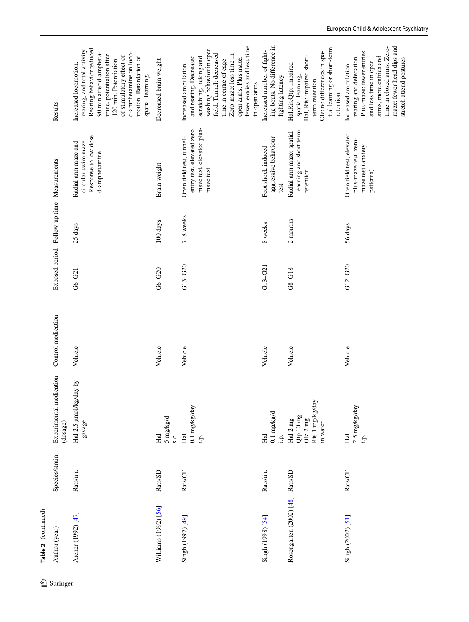| Table 2 (continued)             |                |                                                                    |                    |             |                                            |                                                                                                 |                                                                                                                                                                                                                                                                        |
|---------------------------------|----------------|--------------------------------------------------------------------|--------------------|-------------|--------------------------------------------|-------------------------------------------------------------------------------------------------|------------------------------------------------------------------------------------------------------------------------------------------------------------------------------------------------------------------------------------------------------------------------|
| Author (year)                   | Species/strain | ication<br>Experimental med<br>(dosage)                            | Control medication |             | Exposed period Follow-up time Measurements |                                                                                                 | Results                                                                                                                                                                                                                                                                |
| Archer (1992) [47]              | Rats/n.r.      | Hal 2.5 µmol/kg/day by<br>gavage                                   | Vehicle            | $G6 - G21$  | 25 days                                    | Response to low dose<br>circular swim maze.<br>Radial arm maze and<br>d-amphetamine             | Rearing behavior reduced<br>rearing, and total activity.<br>d-amphetamine on loco-<br>90 min after d-ampheta-<br>mine, potentiation after<br>of stimulatory effect of<br>motion. Retardation of<br>120 min. Potentiation<br>Increased locomotion,<br>spatial learning. |
| Williams (1992) [56]            | <b>Rats/SD</b> | 5 mg/kg/d<br>Hal<br>S.C.                                           | Vehicle            | $G6 - G20$  | 100 days                                   | Brain weight                                                                                    | Decreased brain weight                                                                                                                                                                                                                                                 |
| Singh (1997) [49]               | Rats/CF        | $0.1$ mg/kg/day<br>Hal<br>i.p.                                     | Vehicle            | $G13 - G20$ | 7-8 weeks                                  | maze test, elevated plus-<br>entry test, elevated zero<br>Open field test, tunnel-<br>maze test | fewer entries and less time<br>washing behavior in open<br>field. Tunnel: decreased<br>Zero-maze: less time in<br>and rearing. Decreased<br>scratching, licking and<br>open arms. Plus maze:<br>time in centre of cage.<br>Increased ambulation<br>in open arms        |
| Singh (1998) [54]               | Rats/n.r.      | $0.1$ mg/kg/d<br>Hal<br>$\ddot{p}$ .                               | Vehicle            | $G13 - G21$ | 8 weeks                                    | aggressive behaviour<br>Foot shock induced<br>test                                              | ing bouts. No difference in<br>Increased number of fight-<br>fighting latency                                                                                                                                                                                          |
| Rosengarten (2002) [48] Rats/SD |                | Ris 1 mg/kg/day<br>Qtp 10 mg<br>Hal 2 mg<br>$Oiz$ 2 mg<br>in water | Vehicle            | $G8 - G18$  | 2 months                                   | learning and short term<br>Radial arm maze: spatial<br>retention                                | tial learning or short-term<br>Olz: no differences in spa-<br>Hal, Ris: impaired short-<br>Hal, Ris, Qtp: impaired<br>spatial learning,<br>term retention,<br>retention                                                                                                |
| Singh (2002) [51]               | Rats/CF        | 2.5 mg/kg/day<br>Hal<br>$\ddot{p}$ .                               | Vehicle            | G12-G20     | 56 days                                    | Open field test, elevated<br>plus-maze test, zero-<br>maze test (anxiety<br>patterns)           | maze: fewer head dips and<br>time in closed arms. Zero-<br>Plus-maze: fewer entries<br>rearing and defecation.<br>arms, more entries and<br>stretch attend postures<br>and less time in open<br>Increased ambulation,                                                  |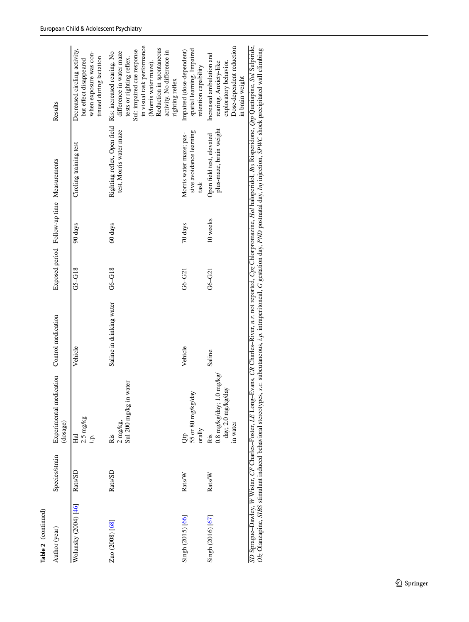| Author (year)                | Species/strain | Experimental medication<br>(dosage)                                                                                                                      | Control medication       | Exposed period Follow-up time Measurements |          |                                                                                   | Results                                                                                                                                                                                                                |
|------------------------------|----------------|----------------------------------------------------------------------------------------------------------------------------------------------------------|--------------------------|--------------------------------------------|----------|-----------------------------------------------------------------------------------|------------------------------------------------------------------------------------------------------------------------------------------------------------------------------------------------------------------------|
| Wolansky (2004) [46] Rats/SD |                | 2.5 mg/kg<br>Hal<br>$\ddot{p}$ .                                                                                                                         | Vehicle                  | $G5-G18$                                   | 90 days  | Circling training test                                                            | Decreased circling activity,<br>when exposure was con-<br>tinued during lactation<br>but effect disappeared                                                                                                            |
| Zuo (2008) [68]              | Rats/SD        | water<br>Sul 200 mg/kg in<br>2 mg/kg,<br>Ris                                                                                                             | Saline in drinking water | $G6 - G18$                                 | 60 days  | Righting reflex, Open field Ris: increased rearing. No<br>test, Morris water maze | in visual task performance<br>Reduction in spontaneous<br>Sul: impaired cue response<br>activity. No difference in<br>difference in water maze<br>tests or righting reflex.<br>(Morris water maze).<br>righting reflex |
| Singh (2015) [66]            | Rats/W         | 55 or 80 mg/kg/day<br>orally<br>දි                                                                                                                       | Vehicle                  | $G6 - G21$                                 | 70 days  | sive avoidance learning<br>Morris water maze; pas-<br>task                        | spatial learning. Impaired<br>Impaired (dose-dependent)<br>retention capability                                                                                                                                        |
| Singh $(2016)$ [67]          | Rats/W         | $0 \,\mathrm{mg/kg}$<br>day; 2.0 mg/kg/day<br>$0.8$ mg/kg/day; 1<br>in water<br>Ris                                                                      | Saline                   | G6-G21                                     | 10 weeks | plus-maze, brain weight<br>Open field test, elevated                              | Dose-dependent reduction<br>Increased ambulation and<br>rearing. Anxiety-like<br>exploratory behavior.<br>in brain weight                                                                                              |
|                              |                | Sprague–Dawley WWister CEC Protect LE1 ong-Eyans CR Charles–River n r not reported Cor Chlomopazine Haloneridol Ris Risperidone Otto Outstanne Sulstride |                          |                                            |          |                                                                                   |                                                                                                                                                                                                                        |

SD Sprague-Dawley, W Wistar, CF Charles-Foster, LE Long-Evans, CR Charles-River, n.r. not reported, Cpz Chlorpromazine, Hal haloperidol, Ris Risperidone, Qp Quetiapine, Sul Sulpiride, Olz Olanzapine, SM Sulpiride, SM Sulpi W Wistar, CF Charles-Foster, LE Long-Evans, CR Charles-River, n.r. not reported, Cpz Chlorpromazine, Hal haloperidol, Ris Risperidone, Qtp Quetiapine, Sul Sulpiride, *G* gestation day, *PND* postnatal day, *Inj* injection, *SPWC* shock precipitated wall climbing*Olz* Olanzapine, *SIBS* stimulant induced behavioral stereotypes, *s.c.* subcutaneous, *i.p.* intraperitoneal, *SD* Sprague–Dawley,

**Table 2** (continued)

Table 2 (continued)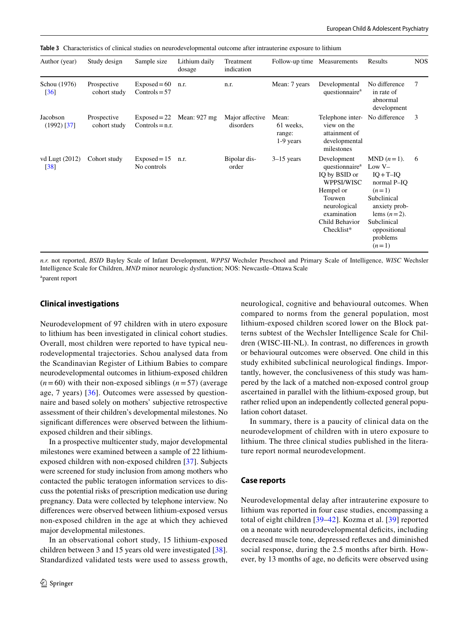| Author (year)                     | Study design                | Sample size                              | Lithium daily<br>dosage | Treatment<br>indication      | Follow-up time Measurements               |                                                                                                                                                                | Results                                                                                                                                                                  | <b>NOS</b> |
|-----------------------------------|-----------------------------|------------------------------------------|-------------------------|------------------------------|-------------------------------------------|----------------------------------------------------------------------------------------------------------------------------------------------------------------|--------------------------------------------------------------------------------------------------------------------------------------------------------------------------|------------|
| Schou (1976)<br>$\left[36\right]$ | Prospective<br>cohort study | $Exposed = 60$<br>$\text{Controls} = 57$ | n.r.                    | n.r.                         | Mean: 7 years                             | Developmental<br>questionnaire <sup>a</sup>                                                                                                                    | No difference<br>in rate of<br>abnormal<br>development                                                                                                                   | 7          |
| Jacobson<br>$(1992)$ [37]         | Prospective<br>cohort study | $Exposed = 22$<br>$Contents = n.r.$      | Mean: $927 \text{ mg}$  | Major affective<br>disorders | Mean:<br>61 weeks,<br>range:<br>1-9 years | Telephone inter-<br>view on the<br>attainment of<br>developmental<br>milestones                                                                                | No difference                                                                                                                                                            | 3          |
| vd Lugt (2012)<br>[38]            | Cohort study                | $Exposed = 15$<br>No controls            | n.r.                    | Bipolar dis-<br>order        | $3-15$ years                              | Development<br>questionnaire <sup>a</sup><br>IQ by BSID or<br>WPPSI/WISC<br>Hempel or<br>Touwen<br>neurological<br>examination<br>Child Behavior<br>Checklist* | $MND (n=1).$<br>Low $V -$<br>$IQ+T-IQ$<br>normal P-IQ<br>$(n=1)$<br>Subclinical<br>anxiety prob-<br>lems $(n=2)$ .<br>Subclinical<br>oppositional<br>problems<br>$(n=1)$ | 6          |

<span id="page-9-0"></span>**Table 3** Characteristics of clinical studies on neurodevelopmental outcome after intrauterine exposure to lithium

*n.r.* not reported, *BSID* Bayley Scale of Infant Development, *WPPSI* Wechsler Preschool and Primary Scale of Intelligence, *WISC* Wechsler Intelligence Scale for Children, *MND* minor neurologic dysfunction; NOS: Newcastle–Ottawa Scale

a parent report

### **Clinical investigations**

Neurodevelopment of 97 children with in utero exposure to lithium has been investigated in clinical cohort studies. Overall, most children were reported to have typical neurodevelopmental trajectories. Schou analysed data from the Scandinavian Register of Lithium Babies to compare neurodevelopmental outcomes in lithium-exposed children  $(n=60)$  with their non-exposed siblings  $(n=57)$  (average age, 7 years) [\[36\]](#page-18-26). Outcomes were assessed by questionnaire and based solely on mothers' subjective retrospective assessment of their children's developmental milestones. No signifcant diferences were observed between the lithiumexposed children and their siblings.

In a prospective multicenter study, major developmental milestones were examined between a sample of 22 lithiumexposed children with non-exposed children [\[37](#page-18-27)]. Subjects were screened for study inclusion from among mothers who contacted the public teratogen information services to discuss the potential risks of prescription medication use during pregnancy. Data were collected by telephone interview. No diferences were observed between lithium-exposed versus non-exposed children in the age at which they achieved major developmental milestones.

In an observational cohort study, 15 lithium-exposed children between 3 and 15 years old were investigated [\[38](#page-18-28)]. Standardized validated tests were used to assess growth,

neurological, cognitive and behavioural outcomes. When compared to norms from the general population, most lithium-exposed children scored lower on the Block patterns subtest of the Wechsler Intelligence Scale for Children (WISC-III-NL). In contrast, no diferences in growth or behavioural outcomes were observed. One child in this study exhibited subclinical neurological fndings. Importantly, however, the conclusiveness of this study was hampered by the lack of a matched non-exposed control group ascertained in parallel with the lithium-exposed group, but rather relied upon an independently collected general population cohort dataset.

In summary, there is a paucity of clinical data on the neurodevelopment of children with in utero exposure to lithium. The three clinical studies published in the literature report normal neurodevelopment.

### **Case reports**

Neurodevelopmental delay after intrauterine exposure to lithium was reported in four case studies, encompassing a total of eight children [\[39](#page-18-29)–[42\]](#page-18-30). Kozma et al. [\[39\]](#page-18-29) reported on a neonate with neurodevelopmental defcits, including decreased muscle tone, depressed refexes and diminished social response, during the 2.5 months after birth. However, by 13 months of age, no deficits were observed using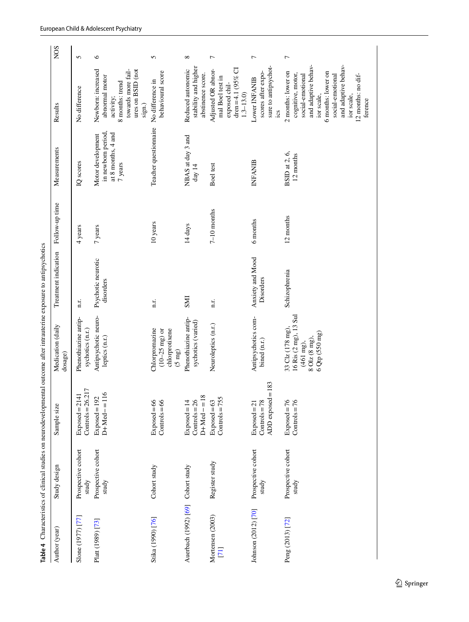<span id="page-10-0"></span>

|                                   |                             | Table 4 Characteristics of clinical studies on neurodevelopmental outcome after intrauterine exposure to antipsychotics |                                                                                                                |                                 |                |                                                                          |                                                                                                                                                                                                                  |                  |
|-----------------------------------|-----------------------------|-------------------------------------------------------------------------------------------------------------------------|----------------------------------------------------------------------------------------------------------------|---------------------------------|----------------|--------------------------------------------------------------------------|------------------------------------------------------------------------------------------------------------------------------------------------------------------------------------------------------------------|------------------|
| Author (year)                     | Study design                | Sample size                                                                                                             | Medication (daily<br>dosage)                                                                                   | Treatment indication            | Follow-up time | Measurements                                                             | Results                                                                                                                                                                                                          | N <sub>O</sub> S |
| Slone (1977) [77]                 | Prospective cohort<br>study | $Controls = 26.217$<br>$Exposed = 2141$                                                                                 | Phenothiazine antip-<br>sychotics (n.r.)                                                                       | n.r.                            | 4 years        | IQ scores                                                                | No difference                                                                                                                                                                                                    | 5                |
| Platt (1989) [73]                 | Prospective cohort<br>study | $\circ$<br>$Exposed = 192$<br>$D+Med = 11$                                                                              | Antipsychotic neuro-<br>leptics (n.r.)                                                                         | Psychotic neurotic<br>disorders | 7 years        | in newborn period,<br>at 8 months, 4 and<br>Motor development<br>7 years | ures on BSID (not<br>Newborn: increased<br>towards more fail-<br>abnormal motor<br>8 months: trend<br>activity;<br>sign.)                                                                                        | $\circ$          |
| Stika (1990) [76]                 | Cohort study                | $Cartrols = 66$<br>$Exposed = 66$                                                                                       | Chlorpromazine<br>chlorprotixene<br>$(10-25$ mg) or<br>$(5 \text{ mg})$                                        | n.r.                            | 10 years       | Teacher questionnaire                                                    | behavioural score<br>No difference in                                                                                                                                                                            | 5                |
| Auerbach (1992) [69] Cohort study |                             | $D+Med = 18$<br>$Controls = 26$<br>$Exposed = 14$                                                                       | Phenothiazine antip-<br>sychotics (varied)                                                                     | <b>INS</b>                      | 14 days        | NBAS at day 3 and<br>day 14                                              | stability and higher<br>Reduced autonomic<br>abstinence score.                                                                                                                                                   | $^{\circ}$       |
| Mortensen (2003)<br>$[7]$         | Register study              | $Controls = 755$<br>$Exposed = 63$                                                                                      | Neuroleptics (n.r.)                                                                                            | n.r.                            | $7-10$ months  | Boel test                                                                | dren = 4.1 $(95\%$ CI<br>Adjusted OR abnor-<br>mal Boel test in<br>exposed chil-<br>$1.3 - 13.0$                                                                                                                 | $\overline{ }$   |
| Johnson (2012) [70]               | Prospective cohort<br>study | $=183$<br>ADD exposed<br>$Controls = 78$<br>$Exposed = 21$                                                              | Antipsychotics com-<br>bined (n.r.)                                                                            | Anxiety and Mood<br>Disorders   | 6 months       | <b>INFANIB</b>                                                           | sure to antipsychot-<br>scores after expo-<br>Lower INFANIB<br>ics                                                                                                                                               | $\overline{ }$   |
| Peng (2013) [72]                  | Prospective cohort<br>study | $Exposed = 76$<br>$\text{Controls} = 76$                                                                                | 16 Ris (2 mg), 13 Sul<br>33 Clz (178 mg)<br>6 Qtp (550 mg)<br>$8 \text{ Olz} (8 \text{ mg})$ .<br>$(461 mg)$ , | Schizophrenia                   | 12 months      | BSID at 2, 6,<br>12 months                                               | and adaptive behav-<br>and adaptive behav-<br>2 months: lower on<br>6 months: lower on<br>cognitive, motor,<br>12 months: no dif-<br>social-emotional<br>social-emotional<br>ior scale,<br>ior scale,<br>ference | $\overline{ }$   |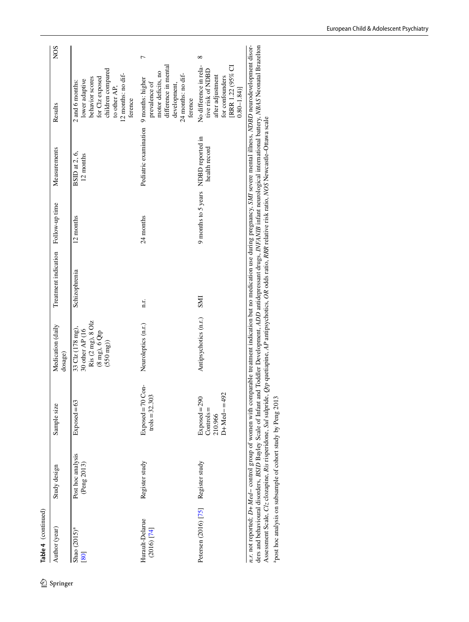|                     | sample size  |
|---------------------|--------------|
|                     | study design |
| continued<br>able 4 | uthor (year) |

| Springer |  |
|----------|--|

| Author (year)                    |                                     | Study design                     | Sample size                                                 | Medication (daily<br>dosage)                                                                     | Treatment indication Follow-up time |                                      | Measurements                           | Results                                                                                                                                       | <b>NOS</b> |
|----------------------------------|-------------------------------------|----------------------------------|-------------------------------------------------------------|--------------------------------------------------------------------------------------------------|-------------------------------------|--------------------------------------|----------------------------------------|-----------------------------------------------------------------------------------------------------------------------------------------------|------------|
| Shao (2015) <sup>a</sup><br>[80] |                                     | Post hoc analysis<br>(Peng 2013) | $Exposed = 63$                                              | Ris (2 mg), 8 Olz<br>33 Clz (178 mg),<br>30 other AP (16<br>(8 mg), 6 Qtp<br>$(550 \text{ mg}))$ | Schizophrenia                       | 12 months                            | BSID at $2, 6$ ,<br>12 months          | children compared<br>12 months: no dif-<br>behavior scores<br>for Clz exposed<br>lower adaptive<br>2 and 6 months:<br>to other AP,<br>ference |            |
| Hurault-Delarue<br>$(2016)$ [74] |                                     | Register study                   | $Con-$<br>$trols = 32.303$<br>$Exposed = 70$                | Neuroleptics (n.r.)                                                                              | n.r.                                | 24 months                            | Pediatric examination 9 months: higher | difference in mental<br>motor deficits, no<br>24 months: no dif-<br>prevalence of<br>development,<br>ference                                  |            |
|                                  | Petersen (2016) [75] Register study |                                  | $D+Med = 492$<br>$Exposed = 290$<br>$Controls =$<br>210.966 | Antipsychotics (n.r.)                                                                            | <b>INS</b>                          | 9 months to 5 years NDBD reported in | health record                          | No difference in rela-<br>[RRR 1.22 (95% CI<br>tive risk of NDBD<br>after adjustment<br>for confounders<br>$0.80 - 1.84$ ]                    | ∞          |

n.r. not reported; D+Med- control group of women with comparable treatment indication but no medication use during pregnancy, SMI severe mental illness, NDBD neurodevelopment disorders and behavioural disorders, BSID Bayle ders and behavioural disorders, *BSID* Bayley Scale of Infant and Toddler Development, *ADD* antidepressant drugs, *INFANIB* infant neurological international battery, *NBAS* Neonatal Brazelton *n.r.* not reported; *D+Med−* control group of women with comparable treatment indication but no medication use during pregnancy, *SMI* severe mental illness, *NDBD* neurodevelopment disor-Assessment Scale, *Clz* clozapine, *Ris* risperidone, *Sul* sulpride, *Qtp* quetiapine, *AP* antipsychotics, *OR* odds ratio, *RRR* relative risk ratio, *NOS* Newcastle–Ottawa scale <sup>a</sup>post hoc analysis on subsample of cohort study by Peng 2013 apost hoc analysis on subsample of cohort study by Peng 2013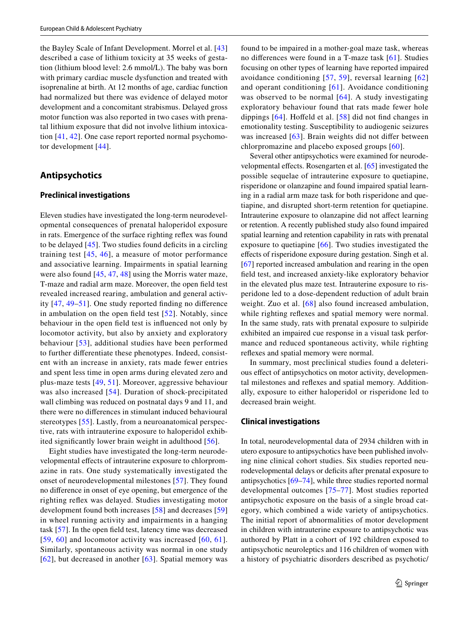the Bayley Scale of Infant Development. Morrel et al. [[43\]](#page-18-31) described a case of lithium toxicity at 35 weeks of gestation (lithium blood level: 2.6 mmol/L). The baby was born with primary cardiac muscle dysfunction and treated with isoprenaline at birth. At 12 months of age, cardiac function had normalized but there was evidence of delayed motor development and a concomitant strabismus. Delayed gross motor function was also reported in two cases with prenatal lithium exposure that did not involve lithium intoxication [[41](#page-18-32), [42\]](#page-18-30). One case report reported normal psychomotor development [[44](#page-18-33)].

# **Antipsychotics**

### **Preclinical investigations**

Eleven studies have investigated the long-term neurodevelopmental consequences of prenatal haloperidol exposure in rats. Emergence of the surface righting refex was found to be delayed  $[45]$  $[45]$ . Two studies found deficits in a circling training test [[45,](#page-18-18) [46\]](#page-18-25), a measure of motor performance and associative learning. Impairments in spatial learning were also found [[45](#page-18-18), [47,](#page-18-20) [48](#page-18-23)] using the Morris water maze, T-maze and radial arm maze. Moreover, the open feld test revealed increased rearing, ambulation and general activity [\[47,](#page-18-20) [49–](#page-18-21)[51](#page-18-24)]. One study reported fnding no diference in ambulation on the open feld test [[52](#page-18-17)]. Notably, since behaviour in the open feld test is infuenced not only by locomotor activity, but also by anxiety and exploratory behaviour [[53\]](#page-18-34), additional studies have been performed to further diferentiate these phenotypes. Indeed, consistent with an increase in anxiety, rats made fewer entries and spent less time in open arms during elevated zero and plus-maze tests [[49,](#page-18-21) [51](#page-18-24)]. Moreover, aggressive behaviour was also increased [[54](#page-18-22)]. Duration of shock-precipitated wall climbing was reduced on postnatal days 9 and 11, and there were no diferences in stimulant induced behavioural stereotypes [[55\]](#page-18-19). Lastly, from a neuroanatomical perspective, rats with intrauterine exposure to haloperidol exhibited signifcantly lower brain weight in adulthood [[56](#page-19-8)].

Eight studies have investigated the long-term neurodevelopmental efects of intrauterine exposure to chlorpromazine in rats. One study systematically investigated the onset of neurodevelopmental milestones [[57](#page-19-7)]. They found no diference in onset of eye opening, but emergence of the righting refex was delayed. Studies investigating motor development found both increases [[58](#page-19-2)] and decreases [[59\]](#page-19-0) in wheel running activity and impairments in a hanging task [\[57](#page-19-7)]. In the open feld test, latency time was decreased [[59](#page-19-0), [60\]](#page-19-4) and locomotor activity was increased [[60](#page-19-4), [61](#page-19-3)]. Similarly, spontaneous activity was normal in one study [[62\]](#page-19-5), but decreased in another [[63](#page-19-1)]. Spatial memory was found to be impaired in a mother-goal maze task, whereas no diferences were found in a T-maze task [\[61\]](#page-19-3). Studies focusing on other types of learning have reported impaired avoidance conditioning [[57](#page-19-7), [59\]](#page-19-0), reversal learning [\[62\]](#page-19-5) and operant conditioning [\[61](#page-19-3)]. Avoidance conditioning was observed to be normal [[64\]](#page-19-6). A study investigating exploratory behaviour found that rats made fewer hole dippings [[64](#page-19-6)]. Hofeld et al. [[58](#page-19-2)] did not fnd changes in emotionality testing. Susceptibility to audiogenic seizures was increased [[63](#page-19-1)]. Brain weights did not differ between chlorpromazine and placebo exposed groups [[60](#page-19-4)].

Several other antipsychotics were examined for neurode-velopmental effects. Rosengarten et al. [\[65](#page-19-22)] investigated the possible sequelae of intrauterine exposure to quetiapine, risperidone or olanzapine and found impaired spatial learning in a radial arm maze task for both risperidone and quetiapine, and disrupted short-term retention for quetiapine. Intrauterine exposure to olanzapine did not afect learning or retention. A recently published study also found impaired spatial learning and retention capability in rats with prenatal exposure to quetiapine [[66](#page-19-10)]. Two studies investigated the efects of risperidone exposure during gestation. Singh et al. [[67\]](#page-19-11) reported increased ambulation and rearing in the open feld test, and increased anxiety-like exploratory behavior in the elevated plus maze test. Intrauterine exposure to risperidone led to a dose-dependent reduction of adult brain weight. Zuo et al. [[68](#page-19-9)] also found increased ambulation, while righting refexes and spatial memory were normal. In the same study, rats with prenatal exposure to sulpiride exhibited an impaired cue response in a visual task performance and reduced spontaneous activity, while righting refexes and spatial memory were normal.

In summary, most preclinical studies found a deleterious efect of antipsychotics on motor activity, developmental milestones and refexes and spatial memory. Additionally, exposure to either haloperidol or risperidone led to decreased brain weight.

#### **Clinical investigations**

In total, neurodevelopmental data of 2934 children with in utero exposure to antipsychotics have been published involving nine clinical cohort studies. Six studies reported neurodevelopmental delays or deficits after prenatal exposure to antipsychotics [[69](#page-19-15)[–74](#page-19-20)], while three studies reported normal developmental outcomes [[75](#page-19-21)–[77](#page-19-12)]. Most studies reported antipsychotic exposure on the basis of a single broad category, which combined a wide variety of antipsychotics. The initial report of abnormalities of motor development in children with intrauterine exposure to antipsychotic was authored by Platt in a cohort of 192 children exposed to antipsychotic neuroleptics and 116 children of women with a history of psychiatric disorders described as psychotic/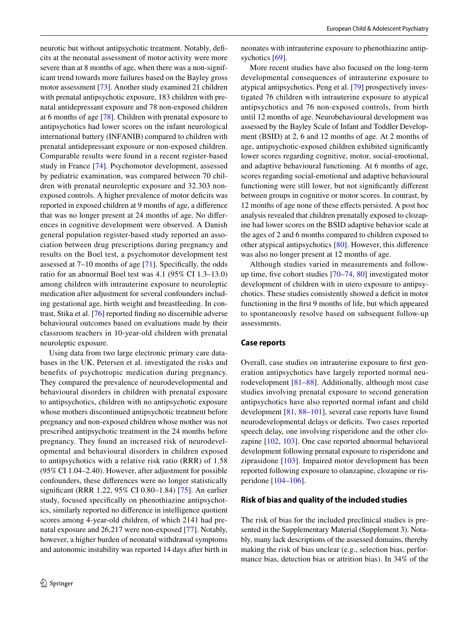neurotic but without antipsychotic treatment. Notably, defcits at the neonatal assessment of motor activity were more severe than at 8 months of age, when there was a non-significant trend towards more failures based on the Bayley gross motor assessment [[73\]](#page-19-13). Another study examined 21 children with prenatal antipsychotic exposure, 183 children with prenatal antidepressant exposure and 78 non-exposed children at 6 months of age [[78](#page-19-23)]. Children with prenatal exposure to antipsychotics had lower scores on the infant neurological international battery (INFANIB) compared to children with prenatal antidepressant exposure or non-exposed children. Comparable results were found in a recent register-based study in France [[74](#page-19-20)]. Psychomotor development, assessed by pediatric examination, was compared between 70 children with prenatal neuroleptic exposure and 32.303 nonexposed controls. A higher prevalence of motor deficits was reported in exposed children at 9 months of age, a diference that was no longer present at 24 months of age. No diferences in cognitive development were observed. A Danish general population register-based study reported an association between drug prescriptions during pregnancy and results on the Boel test, a psychomotor development test assessed at 7–10 months of age [\[71](#page-19-16)]. Specifcally, the odds ratio for an abnormal Boel test was 4.1 (95% CI 1.3–13.0) among children with intrauterine exposure to neuroleptic medication after adjustment for several confounders including gestational age, birth weight and breastfeeding. In contrast, Stika et al. [[76\]](#page-19-14) reported fnding no discernible adverse behavioural outcomes based on evaluations made by their classroom teachers in 10-year-old children with prenatal neuroleptic exposure.

Using data from two large electronic primary care databases in the UK, Petersen et al. investigated the risks and benefits of psychotropic medication during pregnancy. They compared the prevalence of neurodevelopmental and behavioural disorders in children with prenatal exposure to antipsychotics, children with no antipsychotic exposure whose mothers discontinued antipsychotic treatment before pregnancy and non-exposed children whose mother was not prescribed antipsychotic treatment in the 24 months before pregnancy. They found an increased risk of neurodevelopmental and behavioural disorders in children exposed to antipsychotics with a relative risk ratio (RRR) of 1.58 (95% CI 1.04–2.40). However, after adjustment for possible confounders, these diferences were no longer statistically signifcant (RRR 1.22, 95% CI 0.80–1.84) [\[75](#page-19-21)]. An earlier study, focused specifcally on phenothiazine antipsychotics, similarly reported no diference in intelligence quotient scores among 4-year-old children, of which 2141 had prenatal exposure and 26,217 were non-exposed [[77\]](#page-19-12). Notably, however, a higher burden of neonatal withdrawal symptoms and autonomic instability was reported 14 days after birth in neonates with intrauterine exposure to phenothiazine antip-sychotics [\[69](#page-19-15)].

More recent studies have also focused on the long-term developmental consequences of intrauterine exposure to atypical antipsychotics. Peng et al. [[79\]](#page-19-24) prospectively investigated 76 children with intrauterine exposure to atypical antipsychotics and 76 non-exposed controls, from birth until 12 months of age. Neurobehavioural development was assessed by the Bayley Scale of Infant and Toddler Development (BSID) at 2, 6 and 12 months of age. At 2 months of age, antipsychotic-exposed children exhibited signifcantly lower scores regarding cognitive, motor, social-emotional, and adaptive behavioural functioning. At 6 months of age, scores regarding social-emotional and adaptive behavioural functioning were still lower, but not signifcantly diferent between groups in cognitive or motor scores. In contrast, by 12 months of age none of these efects persisted. A post hoc analysis revealed that children prenatally exposed to clozapine had lower scores on the BSID adaptive behavior scale at the ages of 2 and 6 months compared to children exposed to other atypical antipsychotics [\[80](#page-19-19)]. However, this diference was also no longer present at 12 months of age.

Although studies varied in measurements and followup time, fve cohort studies [[70–](#page-19-17)[74,](#page-19-20) [80](#page-19-19)] investigated motor development of children with in utero exposure to antipsychotics. These studies consistently showed a defcit in motor functioning in the frst 9 months of life, but which appeared to spontaneously resolve based on subsequent follow-up assessments.

### **Case reports**

Overall, case studies on intrauterine exposure to frst generation antipsychotics have largely reported normal neurodevelopment [[81–](#page-19-25)[88](#page-19-26)]. Additionally, although most case studies involving prenatal exposure to second generation antipsychotics have also reported normal infant and child development [[81](#page-19-25), [88](#page-19-26)[–101\]](#page-20-0), several case reports have found neurodevelopmental delays or deficits. Two cases reported speech delay, one involving risperidone and the other clozapine [[102](#page-20-1), [103\]](#page-20-2). One case reported abnormal behavioral development following prenatal exposure to risperidone and ziprasidone [\[103\]](#page-20-2). Impaired motor development has been reported following exposure to olanzapine, clozapine or risperidone [[104–](#page-20-3)[106\]](#page-20-4).

#### **Risk of bias and quality of the included studies**

The risk of bias for the included preclinical studies is presented in the Supplementary Material (Supplement 3). Notably, many lack descriptions of the assessed domains, thereby making the risk of bias unclear (e.g., selection bias, performance bias, detection bias or attrition bias). In 34% of the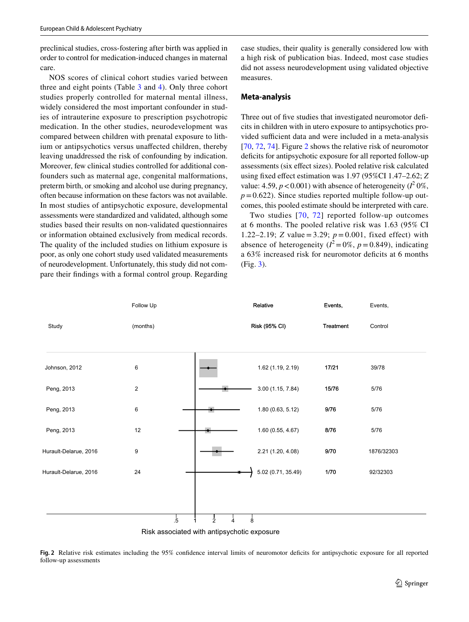preclinical studies, cross-fostering after birth was applied in order to control for medication-induced changes in maternal care.

NOS scores of clinical cohort studies varied between three and eight points (Table [3](#page-9-0) and [4](#page-10-0)). Only three cohort studies properly controlled for maternal mental illness, widely considered the most important confounder in studies of intrauterine exposure to prescription psychotropic medication. In the other studies, neurodevelopment was compared between children with prenatal exposure to lithium or antipsychotics versus unafected children, thereby leaving unaddressed the risk of confounding by indication. Moreover, few clinical studies controlled for additional confounders such as maternal age, congenital malformations, preterm birth, or smoking and alcohol use during pregnancy, often because information on these factors was not available. In most studies of antipsychotic exposure, developmental assessments were standardized and validated, although some studies based their results on non-validated questionnaires or information obtained exclusively from medical records. The quality of the included studies on lithium exposure is poor, as only one cohort study used validated measurements of neurodevelopment. Unfortunately, this study did not compare their fndings with a formal control group. Regarding case studies, their quality is generally considered low with a high risk of publication bias. Indeed, most case studies did not assess neurodevelopment using validated objective measures.

#### **Meta‑analysis**

Three out of fve studies that investigated neuromotor defcits in children with in utero exposure to antipsychotics provided sufficient data and were included in a meta-analysis [[70,](#page-19-17) [72,](#page-19-18) [74\]](#page-19-20). Figure [2](#page-14-0) shows the relative risk of neuromotor deficits for antipsychotic exposure for all reported follow-up assessments (six efect sizes). Pooled relative risk calculated using fxed efect estimation was 1.97 (95%CI 1.47–2.62; *Z* value: 4.59,  $p < 0.001$ ) with absence of heterogeneity ( $l^2 0\%$ ,  $p=0.622$ ). Since studies reported multiple follow-up outcomes, this pooled estimate should be interpreted with care.

Two studies [[70,](#page-19-17) [72\]](#page-19-18) reported follow-up outcomes at 6 months. The pooled relative risk was 1.63 (95% CI 1.22–2.19; *Z* value = 3.29;  $p = 0.001$ , fixed effect) with absence of heterogeneity ( $l^2 = 0\%$ ,  $p = 0.849$ ), indicating a 63% increased risk for neuromotor defcits at 6 months (Fig. [3\)](#page-15-0).



Risk associated with antipsychotic exposure

<span id="page-14-0"></span>**Fig. 2** Relative risk estimates including the 95% confdence interval limits of neuromotor defcits for antipsychotic exposure for all reported follow-up assessments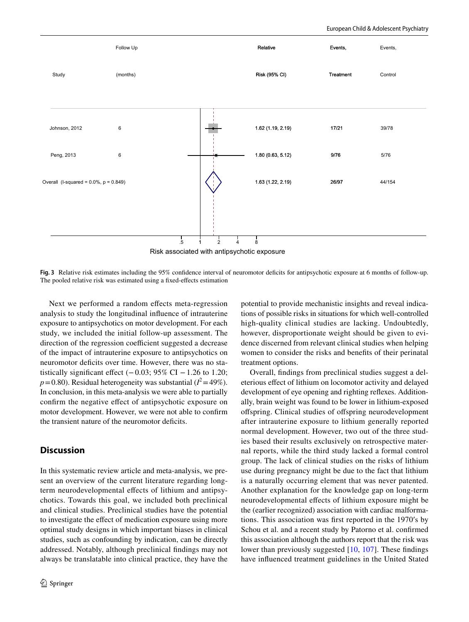

<span id="page-15-0"></span>**Fig. 3** Relative risk estimates including the 95% confdence interval of neuromotor defcits for antipsychotic exposure at 6 months of follow-up. The pooled relative risk was estimated using a fixed-effects estimation

Next we performed a random efects meta-regression analysis to study the longitudinal infuence of intrauterine exposure to antipsychotics on motor development. For each study, we included the initial follow-up assessment. The direction of the regression coefficient suggested a decrease of the impact of intrauterine exposure to antipsychotics on neuromotor deficits over time. However, there was no statistically significant effect  $(-0.03; 95%$  CI −1.26 to 1.20;  $p = 0.80$ ). Residual heterogeneity was substantial ( $l^2 = 49\%$ ). In conclusion, in this meta-analysis we were able to partially confrm the negative efect of antipsychotic exposure on motor development. However, we were not able to confrm the transient nature of the neuromotor defcits.

## **Discussion**

In this systematic review article and meta-analysis, we present an overview of the current literature regarding longterm neurodevelopmental efects of lithium and antipsychotics. Towards this goal, we included both preclinical and clinical studies. Preclinical studies have the potential to investigate the efect of medication exposure using more optimal study designs in which important biases in clinical studies, such as confounding by indication, can be directly addressed. Notably, although preclinical fndings may not always be translatable into clinical practice, they have the

potential to provide mechanistic insights and reveal indications of possible risks in situations for which well-controlled high-quality clinical studies are lacking. Undoubtedly, however, disproportionate weight should be given to evidence discerned from relevant clinical studies when helping women to consider the risks and benefts of their perinatal treatment options.

Overall, fndings from preclinical studies suggest a deleterious efect of lithium on locomotor activity and delayed development of eye opening and righting refexes. Additionally, brain weight was found to be lower in lithium-exposed ofspring. Clinical studies of ofspring neurodevelopment after intrauterine exposure to lithium generally reported normal development. However, two out of the three studies based their results exclusively on retrospective maternal reports, while the third study lacked a formal control group. The lack of clinical studies on the risks of lithium use during pregnancy might be due to the fact that lithium is a naturally occurring element that was never patented. Another explanation for the knowledge gap on long-term neurodevelopmental efects of lithium exposure might be the (earlier recognized) association with cardiac malformations. This association was frst reported in the 1970′s by Schou et al. and a recent study by Patorno et al. confrmed this association although the authors report that the risk was lower than previously suggested [\[10,](#page-17-5) [107](#page-20-5)]. These fndings have infuenced treatment guidelines in the United Stated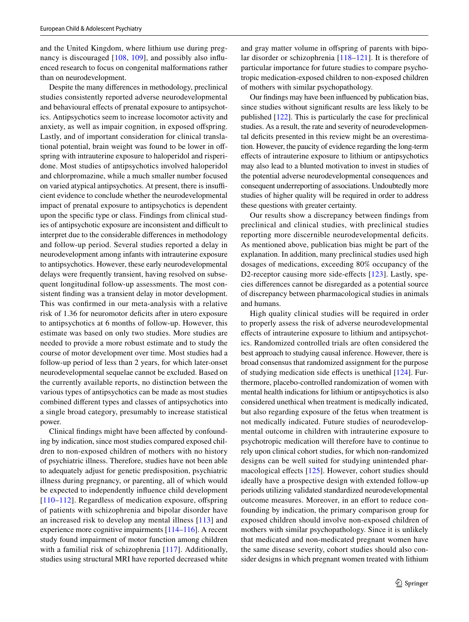and the United Kingdom, where lithium use during preg-nancy is discouraged [\[108,](#page-20-6) [109](#page-20-7)], and possibly also influenced research to focus on congenital malformations rather than on neurodevelopment.

Despite the many diferences in methodology, preclinical studies consistently reported adverse neurodevelopmental and behavioural effects of prenatal exposure to antipsychotics. Antipsychotics seem to increase locomotor activity and anxiety, as well as impair cognition, in exposed offspring. Lastly, and of important consideration for clinical translational potential, brain weight was found to be lower in offspring with intrauterine exposure to haloperidol and risperidone. Most studies of antipsychotics involved haloperidol and chlorpromazine, while a much smaller number focused on varied atypical antipsychotics. At present, there is insufficient evidence to conclude whether the neurodevelopmental impact of prenatal exposure to antipsychotics is dependent upon the specifc type or class. Findings from clinical studies of antipsychotic exposure are inconsistent and difficult to interpret due to the considerable diferences in methodology and follow-up period. Several studies reported a delay in neurodevelopment among infants with intrauterine exposure to antipsychotics. However, these early neurodevelopmental delays were frequently transient, having resolved on subsequent longitudinal follow-up assessments. The most consistent fnding was a transient delay in motor development. This was confrmed in our meta-analysis with a relative risk of 1.36 for neuromotor defcits after in utero exposure to antipsychotics at 6 months of follow-up. However, this estimate was based on only two studies. More studies are needed to provide a more robust estimate and to study the course of motor development over time. Most studies had a follow-up period of less than 2 years, for which later-onset neurodevelopmental sequelae cannot be excluded. Based on the currently available reports, no distinction between the various types of antipsychotics can be made as most studies combined diferent types and classes of antipsychotics into a single broad category, presumably to increase statistical power.

Clinical fndings might have been afected by confounding by indication, since most studies compared exposed children to non-exposed children of mothers with no history of psychiatric illness. Therefore, studies have not been able to adequately adjust for genetic predisposition, psychiatric illness during pregnancy, or parenting, all of which would be expected to independently infuence child development [[110–](#page-20-8)[112\]](#page-20-9). Regardless of medication exposure, offspring of patients with schizophrenia and bipolar disorder have an increased risk to develop any mental illness [[113\]](#page-20-10) and experience more cognitive impairments [[114–](#page-20-11)[116\]](#page-20-12). A recent study found impairment of motor function among children with a familial risk of schizophrenia [\[117\]](#page-20-13). Additionally, studies using structural MRI have reported decreased white

and gray matter volume in ofspring of parents with bipolar disorder or schizophrenia [[118](#page-20-14)[–121\]](#page-21-0). It is therefore of particular importance for future studies to compare psychotropic medication-exposed children to non-exposed children of mothers with similar psychopathology.

Our fndings may have been infuenced by publication bias, since studies without signifcant results are less likely to be published [\[122\]](#page-21-1). This is particularly the case for preclinical studies. As a result, the rate and severity of neurodevelopmental deficits presented in this review might be an overestimation. However, the paucity of evidence regarding the long-term efects of intrauterine exposure to lithium or antipsychotics may also lead to a blunted motivation to invest in studies of the potential adverse neurodevelopmental consequences and consequent underreporting of associations. Undoubtedly more studies of higher quality will be required in order to address these questions with greater certainty.

Our results show a discrepancy between fndings from preclinical and clinical studies, with preclinical studies reporting more discernible neurodevelopmental deficits. As mentioned above, publication bias might be part of the explanation. In addition, many preclinical studies used high dosages of medications, exceeding 80% occupancy of the D2-receptor causing more side-effects [[123](#page-21-2)]. Lastly, species diferences cannot be disregarded as a potential source of discrepancy between pharmacological studies in animals and humans.

High quality clinical studies will be required in order to properly assess the risk of adverse neurodevelopmental efects of intrauterine exposure to lithium and antipsychotics. Randomized controlled trials are often considered the best approach to studying causal inference. However, there is broad consensus that randomized assignment for the purpose of studying medication side efects is unethical [\[124\]](#page-21-3). Furthermore, placebo-controlled randomization of women with mental health indications for lithium or antipsychotics is also considered unethical when treatment is medically indicated, but also regarding exposure of the fetus when treatment is not medically indicated. Future studies of neurodevelopmental outcome in children with intrauterine exposure to psychotropic medication will therefore have to continue to rely upon clinical cohort studies, for which non-randomized designs can be well suited for studying unintended pharmacological efects [\[125\]](#page-21-4). However, cohort studies should ideally have a prospective design with extended follow-up periods utilizing validated standardized neurodevelopmental outcome measures. Moreover, in an effort to reduce confounding by indication, the primary comparison group for exposed children should involve non-exposed children of mothers with similar psychopathology. Since it is unlikely that medicated and non-medicated pregnant women have the same disease severity, cohort studies should also consider designs in which pregnant women treated with lithium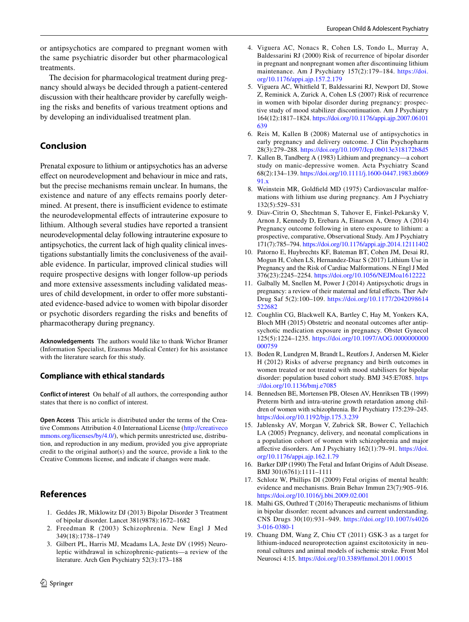or antipsychotics are compared to pregnant women with the same psychiatric disorder but other pharmacological treatments.

The decision for pharmacological treatment during pregnancy should always be decided through a patient-centered discussion with their healthcare provider by carefully weighing the risks and benefts of various treatment options and by developing an individualised treatment plan.

# **Conclusion**

Prenatal exposure to lithium or antipsychotics has an adverse efect on neurodevelopment and behaviour in mice and rats, but the precise mechanisms remain unclear. In humans, the existence and nature of any efects remains poorly determined. At present, there is insufficient evidence to estimate the neurodevelopmental efects of intrauterine exposure to lithium. Although several studies have reported a transient neurodevelopmental delay following intrauterine exposure to antipsychotics, the current lack of high quality clinical investigations substantially limits the conclusiveness of the available evidence. In particular, improved clinical studies will require prospective designs with longer follow-up periods and more extensive assessments including validated measures of child development, in order to ofer more substantiated evidence-based advice to women with bipolar disorder or psychotic disorders regarding the risks and benefts of pharmacotherapy during pregnancy.

**Acknowledgements** The authors would like to thank Wichor Bramer (Information Specialist, Erasmus Medical Center) for his assistance with the literature search for this study.

### **Compliance with ethical standards**

**Conflict of interest** On behalf of all authors, the corresponding author states that there is no confict of interest.

**Open Access** This article is distributed under the terms of the Creative Commons Attribution 4.0 International License [\(http://creativeco](http://creativecommons.org/licenses/by/4.0/) [mmons.org/licenses/by/4.0/](http://creativecommons.org/licenses/by/4.0/)), which permits unrestricted use, distribution, and reproduction in any medium, provided you give appropriate credit to the original author(s) and the source, provide a link to the Creative Commons license, and indicate if changes were made.

# **References**

- <span id="page-17-0"></span>1. Geddes JR, Miklowitz DJ (2013) Bipolar Disorder 3 Treatment of bipolar disorder. Lancet 381(9878):1672–1682
- <span id="page-17-1"></span>2. Freedman R (2003) Schizophrenia. New Engl J Med 349(18):1738–1749
- <span id="page-17-2"></span>3. Gilbert PL, Harris MJ, Mcadams LA, Jeste DV (1995) Neuroleptic withdrawal in schizophrenic-patients—a review of the literature. Arch Gen Psychiatry 52(3):173–188
- 4. Viguera AC, Nonacs R, Cohen LS, Tondo L, Murray A, Baldessarini RJ (2000) Risk of recurrence of bipolar disorder in pregnant and nonpregnant women after discontinuing lithium maintenance. Am J Psychiatry 157(2):179–184. [https://doi.](https://doi.org/10.1176/appi.ajp.157.2.179) [org/10.1176/appi.ajp.157.2.179](https://doi.org/10.1176/appi.ajp.157.2.179)
- <span id="page-17-3"></span>5. Viguera AC, Whitfeld T, Baldessarini RJ, Newport DJ, Stowe Z, Reminick A, Zurick A, Cohen LS (2007) Risk of recurrence in women with bipolar disorder during pregnancy: prospective study of mood stabilizer discontinuation. Am J Psychiatry 164(12):1817–1824. [https://doi.org/10.1176/appi.ajp.2007.06101](https://doi.org/10.1176/appi.ajp.2007.06101639) [639](https://doi.org/10.1176/appi.ajp.2007.06101639)
- <span id="page-17-4"></span>6. Reis M, Kallen B (2008) Maternal use of antipsychotics in early pregnancy and delivery outcome. J Clin Psychopharm 28(3):279–288. <https://doi.org/10.1097/Jcp.0b013e318172b8d5>
- <span id="page-17-6"></span>7. Kallen B, Tandberg A (1983) Lithium and pregnancy—a cohort study on manic-depressive women. Acta Psychiatry Scand 68(2):134–139. [https://doi.org/10.1111/j.1600-0447.1983.tb069](https://doi.org/10.1111/j.1600-0447.1983.tb06991.x) [91.x](https://doi.org/10.1111/j.1600-0447.1983.tb06991.x)
- 8. Weinstein MR, Goldfeld MD (1975) Cardiovascular malformations with lithium use during pregnancy. Am J Psychiatry 132(5):529–531
- <span id="page-17-7"></span>9. Diav-Citrin O, Shechtman S, Tahover E, Finkel-Pekarsky V, Arnon J, Kennedy D, Erebara A, Einarson A, Ornoy A (2014) Pregnancy outcome following in utero exposure to lithium: a prospective, comparative, Observational Study. Am J Psychiatry 171(7):785–794. <https://doi.org/10.1176/appi.ajp.2014.12111402>
- <span id="page-17-5"></span>10. Patorno E, Huybrechts KF, Bateman BT, Cohen JM, Desai RJ, Mogun H, Cohen LS, Hernandez-Diaz S (2017) Lithium Use in Pregnancy and the Risk of Cardiac Malformations. N Engl J Med 376(23):2245–2254.<https://doi.org/10.1056/NEJMoa1612222>
- <span id="page-17-8"></span>11. Galbally M, Snellen M, Power J (2014) Antipsychotic drugs in pregnancy: a review of their maternal and fetal efects. Ther Adv Drug Saf 5(2):100–109. [https://doi.org/10.1177/2042098614](https://doi.org/10.1177/2042098614522682) [522682](https://doi.org/10.1177/2042098614522682)
- <span id="page-17-9"></span>12. Coughlin CG, Blackwell KA, Bartley C, Hay M, Yonkers KA, Bloch MH (2015) Obstetric and neonatal outcomes after antipsychotic medication exposure in pregnancy. Obstet Gynecol 125(5):1224–1235. [https://doi.org/10.1097/AOG.0000000000](https://doi.org/10.1097/AOG.0000000000000759) [000759](https://doi.org/10.1097/AOG.0000000000000759)
- <span id="page-17-10"></span>13. Boden R, Lundgren M, Brandt L, Reutfors J, Andersen M, Kieler H (2012) Risks of adverse pregnancy and birth outcomes in women treated or not treated with mood stabilisers for bipolar disorder: population based cohort study. BMJ 345:E7085. [https](https://doi.org/10.1136/bmj.e7085) [://doi.org/10.1136/bmj.e7085](https://doi.org/10.1136/bmj.e7085)
- 14. Bennedsen BE, Mortensen PB, Olesen AV, Henriksen TB (1999) Preterm birth and intra-uterine growth retardation among children of women with schizophrenia. Br J Psychiatry 175:239–245. <https://doi.org/10.1192/bjp.175.3.239>
- <span id="page-17-11"></span>15. Jablensky AV, Morgan V, Zubrick SR, Bower C, Yellachich LA (2005) Pregnancy, delivery, and neonatal complications in a population cohort of women with schizophrenia and major afective disorders. Am J Psychiatry 162(1):79–91. [https://doi.](https://doi.org/10.1176/appi.ajp.162.1.79) [org/10.1176/appi.ajp.162.1.79](https://doi.org/10.1176/appi.ajp.162.1.79)
- <span id="page-17-12"></span>16. Barker DJP (1990) The Fetal and Infant Origins of Adult Disease. BMJ 301(6761):1111–1111
- <span id="page-17-13"></span>17. Schlotz W, Phillips DI (2009) Fetal origins of mental health: evidence and mechanisms. Brain Behav Immun 23(7):905–916. <https://doi.org/10.1016/j.bbi.2009.02.001>
- <span id="page-17-14"></span>18. Malhi GS, Outhred T (2016) Therapeutic mechanisms of lithium in bipolar disorder: recent advances and current understanding. CNS Drugs 30(10):931–949. [https://doi.org/10.1007/s4026](https://doi.org/10.1007/s40263-016-0380-1) [3-016-0380-1](https://doi.org/10.1007/s40263-016-0380-1)
- <span id="page-17-15"></span>19. Chuang DM, Wang Z, Chiu CT (2011) GSK-3 as a target for lithium-induced neuroprotection against excitotoxicity in neuronal cultures and animal models of ischemic stroke. Front Mol Neurosci 4:15.<https://doi.org/10.3389/fnmol.2011.00015>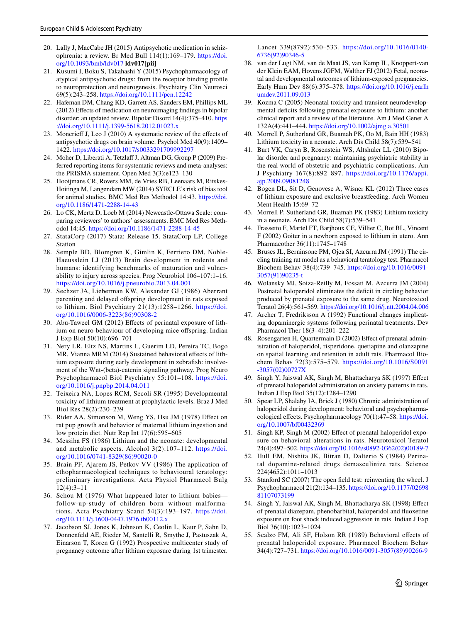- <span id="page-18-0"></span>20. Lally J, MacCabe JH (2015) Antipsychotic medication in schizophrenia: a review. Br Med Bull 114(1):169–179. [https://doi.](https://doi.org/10.1093/bmb/ldv017) [org/10.1093/bmb/ldv017](https://doi.org/10.1093/bmb/ldv017) **ldv017[pii]**
- <span id="page-18-1"></span>21. Kusumi I, Boku S, Takahashi Y (2015) Psychopharmacology of atypical antipsychotic drugs: from the receptor binding profle to neuroprotection and neurogenesis. Psychiatry Clin Neurosci 69(5):243–258. <https://doi.org/10.1111/pcn.12242>
- <span id="page-18-2"></span>22. Hafeman DM, Chang KD, Garrett AS, Sanders EM, Phillips ML (2012) Efects of medication on neuroimaging fndings in bipolar disorder: an updated review. Bipolar Disord 14(4):375–410. [https](https://doi.org/10.1111/j.1399-5618.2012.01023.x) [://doi.org/10.1111/j.1399-5618.2012.01023.x](https://doi.org/10.1111/j.1399-5618.2012.01023.x)
- <span id="page-18-3"></span>23. Moncrief J, Leo J (2010) A systematic review of the efects of antipsychotic drugs on brain volume. Psychol Med 40(9):1409– 1422. <https://doi.org/10.1017/s0033291709992297>
- <span id="page-18-4"></span>24. Moher D, Liberati A, Tetzlaff J, Altman DG, Group P (2009) Preferred reporting items for systematic reviews and meta-analyses: the PRISMA statement. Open Med 3(3):e123–130
- <span id="page-18-5"></span>25. Hooijmans CR, Rovers MM, de Vries RB, Leenaars M, Ritskes-Hoitinga M, Langendam MW (2014) SYRCLE's risk of bias tool for animal studies. BMC Med Res Methodol 14:43. [https://doi.](https://doi.org/10.1186/1471-2288-14-43) [org/10.1186/1471-2288-14-43](https://doi.org/10.1186/1471-2288-14-43)
- <span id="page-18-6"></span>26. Lo CK, Mertz D, Loeb M (2014) Newcastle-Ottawa Scale: comparing reviewers' to authors' assessments. BMC Med Res Methodol 14:45. <https://doi.org/10.1186/1471-2288-14-45>
- <span id="page-18-7"></span>27. StataCorp (2017) Stata: Release 15. StataCorp LP, College Station
- <span id="page-18-8"></span>28. Semple BD, Blomgren K, Gimlin K, Ferriero DM, Noble-Haeusslein LJ (2013) Brain development in rodents and humans: identifying benchmarks of maturation and vulnerability to injury across species. Prog Neurobiol 106–107:1–16. <https://doi.org/10.1016/j.pneurobio.2013.04.001>
- <span id="page-18-9"></span>29. Sechzer JA, Lieberman KW, Alexander GJ (1986) Aberrant parenting and delayed ofspring development in rats exposed to lithium. Biol Psychiatry 21(13):1258–1266. [https://doi.](https://doi.org/10.1016/0006-3223(86)90308-2) [org/10.1016/0006-3223\(86\)90308-2](https://doi.org/10.1016/0006-3223(86)90308-2)
- <span id="page-18-10"></span>30. Abu-Taweel GM (2012) Efects of perinatal exposure of lithium on neuro-behaviour of developing mice offspring. Indian J Exp Biol 50(10):696–701
- <span id="page-18-11"></span>31. Nery LR, Eltz NS, Martins L, Guerim LD, Pereira TC, Bogo MR, Vianna MRM (2014) Sustained behavioral efects of lithium exposure during early development in zebrafsh: involvement of the Wnt-(beta)-catenin signaling pathway. Prog Neuro Psychopharmacol Biol Psychiatry 55:101–108. [https://doi.](https://doi.org/10.1016/j.pnpbp.2014.04.011) [org/10.1016/j.pnpbp.2014.04.011](https://doi.org/10.1016/j.pnpbp.2014.04.011)
- <span id="page-18-12"></span>32. Teixeira NA, Lopes RCM, Secoli SR (1995) Developmental toxicity of lithium treatment at prophylactic levels. Braz J Med Biol Res 28(2):230–239
- <span id="page-18-13"></span>33. Rider AA, Simonson M, Weng YS, Hsu JM (1978) Efect on rat pup growth and behavior of maternal lithium ingestion and low protein diet. Nutr Rep Int 17(6):595–605
- <span id="page-18-14"></span>34. Messiha FS (1986) Lithium and the neonate: developmental and metabolic aspects. Alcohol 3(2):107–112. [https://doi.](https://doi.org/10.1016/0741-8329(86)90020-0) [org/10.1016/0741-8329\(86\)90020-0](https://doi.org/10.1016/0741-8329(86)90020-0)
- <span id="page-18-15"></span>35. Brain PF, Ajarem JS, Petkov VV (1986) The application of ethopharmacological techniques to behavioural teratology: preliminary investigations. Acta Physiol Pharmacol Bulg 12(4):3–11
- <span id="page-18-26"></span>36. Schou M (1976) What happened later to lithium babies follow-up-study of children born without malformations. Acta Psychiatry Scand 54(3):193–197. [https://doi.](https://doi.org/10.1111/j.1600-0447.1976.tb00112.x) [org/10.1111/j.1600-0447.1976.tb00112.x](https://doi.org/10.1111/j.1600-0447.1976.tb00112.x)
- <span id="page-18-27"></span>37. Jacobson SJ, Jones K, Johnson K, Ceolin L, Kaur P, Sahn D, Donnenfeld AE, Rieder M, Santelli R, Smythe J, Pastuszak A, Einarson T, Koren G (1992) Prospective multicenter study of pregnancy outcome after lithium exposure during 1st trimester.

Lancet 339(8792):530–533. [https://doi.org/10.1016/0140-](https://doi.org/10.1016/0140-6736(92)90346-5) [6736\(92\)90346-5](https://doi.org/10.1016/0140-6736(92)90346-5)

- <span id="page-18-28"></span>38. van der Lugt NM, van de Maat JS, van Kamp IL, Knoppert-van der Klein EAM, Hovens JGFM, Walther FJ (2012) Fetal, neonatal and developmental outcomes of lithium-exposed pregnancies. Early Hum Dev 88(6):375–378. [https://doi.org/10.1016/j.earlh](https://doi.org/10.1016/j.earlhumdev.2011.09.013) [umdev.2011.09.013](https://doi.org/10.1016/j.earlhumdev.2011.09.013)
- <span id="page-18-29"></span>39. Kozma C (2005) Neonatal toxicity and transient neurodevelopmental deficits following prenatal exposure to lithium: another clinical report and a review of the literature. Am J Med Genet A 132A(4):441–444.<https://doi.org/10.1002/ajmg.a.30501>
- 40. Morrell P, Sutherland GR, Buamah PK, Oo M, Bain HH (1983) Lithium toxicity in a neonate. Arch Dis Child 58(7):539–541
- <span id="page-18-32"></span>41. Burt VK, Caryn B, Rosenstein WS, Altshuler LL (2010) Bipolar disorder and pregnancy: maintaining psychiatric stability in the real world of obstetric and psychiatric complications. Am J Psychiatry 167(8):892–897. [https://doi.org/10.1176/appi.](https://doi.org/10.1176/appi.ajp.2009.09081248) [ajp.2009.09081248](https://doi.org/10.1176/appi.ajp.2009.09081248)
- <span id="page-18-30"></span>42. Bogen DL, Sit D, Genovese A, Wisner KL (2012) Three cases of lithium exposure and exclusive breastfeeding. Arch Women Ment Health 15:69–72
- <span id="page-18-31"></span>43. Morrell P, Sutherland GR, Buamah PK (1983) Lithium toxicity in a neonate. Arch Dis Child 58(7):539–541
- <span id="page-18-33"></span>44. Frassetto F, Martel FT, Barjhoux CE, Villier C, Bot BL, Vincent F (2002) Goiter in a newborn exposed to lithium in utero. Ann Pharmacother 36(11):1745–1748
- <span id="page-18-18"></span>45. Bruses JL, Berninsone PM, Ojea SI, Azcurra JM (1991) The circling training rat model as a behavioral teratology test. Pharmacol Biochem Behav 38(4):739–745. [https://doi.org/10.1016/0091-](https://doi.org/10.1016/0091-3057(91)90235-t) [3057\(91\)90235-t](https://doi.org/10.1016/0091-3057(91)90235-t)
- <span id="page-18-25"></span>46. Wolansky MJ, Soiza-Reilly M, Fossati M, Azcurra JM (2004) Postnatal haloperidol eliminates the deficit in circling behavior produced by prenatal exposure to the same drug. Neurotoxicol Teratol 26(4):561–569.<https://doi.org/10.1016/j.ntt.2004.04.006>
- <span id="page-18-20"></span>47. Archer T, Fredriksson A (1992) Functional changes implicating dopaminergic systems following perinatal treatments. Dev Pharmacol Ther 18(3–4):201–222
- <span id="page-18-23"></span>48. Rosengarten H, Quartermain D (2002) Efect of prenatal administration of haloperidol, risperidone, quetiapine and olanzapine on spatial learning and retention in adult rats. Pharmacol Biochem Behav 72(3):575–579. [https://doi.org/10.1016/S0091](https://doi.org/10.1016/S0091-3057(02)00727X) [-3057\(02\)00727X](https://doi.org/10.1016/S0091-3057(02)00727X)
- <span id="page-18-21"></span>49. Singh Y, Jaiswal AK, Singh M, Bhattacharya SK (1997) Efect of prenatal haloperidol administration on anxiety patterns in rats. Indian J Exp Biol 35(12):1284–1290
- <span id="page-18-16"></span>50. Spear LP, Shalaby IA, Brick J (1980) Chronic administration of haloperidol during development: behavioral and psychopharmacological efects. Psychopharmacology 70(1):47–58. [https://doi.](https://doi.org/10.1007/bf00432369) [org/10.1007/bf00432369](https://doi.org/10.1007/bf00432369)
- <span id="page-18-24"></span>51. Singh KP, Singh M (2002) Efect of prenatal haloperidol exposure on behavioral alterations in rats. Neurotoxicol Teratol 24(4):497–502. [https://doi.org/10.1016/s0892-0362\(02\)00189-7](https://doi.org/10.1016/s0892-0362(02)00189-7)
- <span id="page-18-17"></span>52. Hull EM, Nishita JK, Bitran D, Dalterio S (1984) Perinatal dopamine-related drugs demasculinize rats. Science 224(4652):1011–1013
- <span id="page-18-34"></span>53. Stanford SC (2007) The open feld test: reinventing the wheel. J Psychopharmacol 21(2):134–135. [https://doi.org/10.1177/02698](https://doi.org/10.1177/0269881107073199) [81107073199](https://doi.org/10.1177/0269881107073199)
- <span id="page-18-22"></span>54. Singh Y, Jaiswal AK, Singh M, Bhattacharya SK (1998) Efect of prenatal diazepam, phenobarbital, haloperidol and fuoxetine exposure on foot shock induced aggression in rats. Indian J Exp Biol 36(10):1023–1024
- <span id="page-18-19"></span>55. Scalzo FM, Ali SF, Holson RR (1989) Behavioral efects of prenatal haloperidol exposure. Pharmacol Biochem Behav 34(4):727–731. [https://doi.org/10.1016/0091-3057\(89\)90266-9](https://doi.org/10.1016/0091-3057(89)90266-9)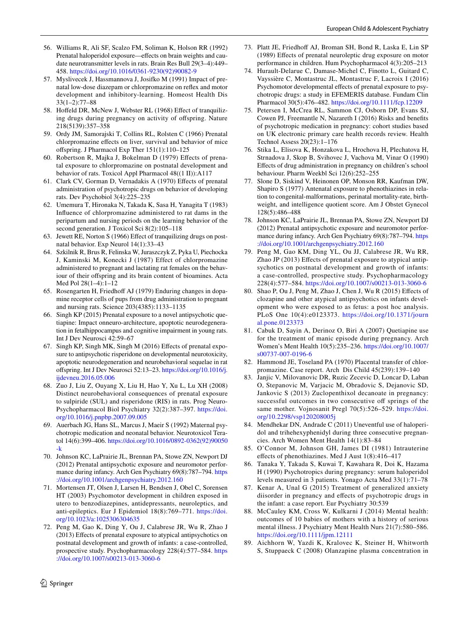- <span id="page-19-8"></span>56. Williams R, Ali SF, Scalzo FM, Soliman K, Holson RR (1992) Prenatal haloperidol exposure—effects on brain weights and caudate neurotransmitter levels in rats. Brain Res Bull 29(3–4):449– 458. [https://doi.org/10.1016/0361-9230\(92\)90082-9](https://doi.org/10.1016/0361-9230(92)90082-9)
- <span id="page-19-7"></span>57. Myslivecek J, Hassmannova J, Josifko M (1991) Impact of prenatal low-dose diazepam or chlorpromazine on refex and motor development and inhibitory-learning. Homeost Health Dis 33(1–2):77–88
- <span id="page-19-2"></span>58. Hofeld DR, McNew J, Webster RL (1968) Efect of tranquilizing drugs during pregnancy on activity of offspring. Nature 218(5139):357–358
- <span id="page-19-0"></span>59. Ordy JM, Samorajski T, Collins RL, Rolsten C (1966) Prenatal chlorpromazine efects on liver, survival and behavior of mice ofspring. J Pharmacol Exp Ther 151(1):110–125
- <span id="page-19-4"></span>60. Robertson R, Majka J, Bokelman D (1979) Efects of prenatal exposure to chlorpromazine on postnatal development and behavior of rats. Toxicol Appl Pharmacol 48((1 II)):A117
- <span id="page-19-3"></span>61. Clark CV, Gorman D, Vernadakis A (1970) Efects of prenatal administration of psychotropic drugs on behavior of developing rats. Dev Psychobiol 3(4):225–235
- <span id="page-19-5"></span>62. Umemura T, Hironaka N, Takada K, Sasa H, Yanagita T (1983) Infuence of chlorpromazine administered to rat dams in the peripartum and nursing periods on the learning behavior of the second generation. J Toxicol Sci 8(2):105–118
- <span id="page-19-1"></span>63. Jewett RE, Norton S (1966) Efect of tranquilizing drugs on postnatal behavior. Exp Neurol 14(1):33–43
- <span id="page-19-6"></span>64. Szkilnik R, Brus R, Felinska W, Juraszczyk Z, Pyka U, Piechocka J, Kaminski M, Konecki J (1987) Effect of chlorpromazine administered to pregnant and lactating rat females on the behaviour of their ofspring and its brain content of bioamines. Acta Med Pol 28(1–4):1–12
- <span id="page-19-22"></span>65. Rosengarten H, Friedhoff AJ (1979) Enduring changes in dopamine receptor cells of pups from drug administration to pregnant and nursing rats. Science 203(4385):1133–1135
- <span id="page-19-10"></span>66. Singh KP (2015) Prenatal exposure to a novel antipsychotic quetiapine: Impact onneuro-architecture, apoptotic neurodegeneration in fetalhippocampus and cognitive impairment in young rats. Int J Dev Neurosci 42:59–67
- <span id="page-19-11"></span>67. Singh KP, Singh MK, Singh M (2016) Efects of prenatal exposure to antipsychotic risperidone on developmental neurotoxicity, apoptotic neurodegeneration and neurobehavioral sequelae in rat ofspring. Int J Dev Neurosci 52:13–23. [https://doi.org/10.1016/j.](https://doi.org/10.1016/j.ijdevneu.2016.05.006) [ijdevneu.2016.05.006](https://doi.org/10.1016/j.ijdevneu.2016.05.006)
- <span id="page-19-9"></span>68. Zuo J, Liu Z, Ouyang X, Liu H, Hao Y, Xu L, Lu XH (2008) Distinct neurobehavioral consequences of prenatal exposure to sulpiride (SUL) and risperidone (RIS) in rats. Prog Neuro-Psychopharmacol Biol Psychiatry 32(2):387–397. [https://doi.](https://doi.org/10.1016/j.pnpbp.2007.09.005) [org/10.1016/j.pnpbp.2007.09.005](https://doi.org/10.1016/j.pnpbp.2007.09.005)
- <span id="page-19-15"></span>69. Auerbach JG, Hans SL, Marcus J, Maeir S (1992) Maternal psychotropic medication and neonatal behavior. Neurotoxicol Teratol 14(6):399–406. [https://doi.org/10.1016/0892-0362\(92\)90050](https://doi.org/10.1016/0892-0362(92)90050-k) [-k](https://doi.org/10.1016/0892-0362(92)90050-k)
- <span id="page-19-17"></span>70. Johnson KC, LaPrairie JL, Brennan PA, Stowe ZN, Newport DJ (2012) Prenatal antipsychotic exposure and neuromotor performance during infancy. Arch Gen Psychiatry 69(8):787–794. [https](https://doi.org/10.1001/archgenpsychiatry.2012.160) [://doi.org/10.1001/archgenpsychiatry.2012.160](https://doi.org/10.1001/archgenpsychiatry.2012.160)
- <span id="page-19-16"></span>71. Mortensen JT, Olsen J, Larsen H, Bendsen J, Obel C, Sorensen HT (2003) Psychomotor development in children exposed in utero to benzodiazepines, antidepressants, neuroleptics, and anti-epileptics. Eur J Epidemiol 18(8):769–771. [https://doi.](https://doi.org/10.1023/a:1025306304635) [org/10.1023/a:1025306304635](https://doi.org/10.1023/a:1025306304635)
- <span id="page-19-18"></span>72. Peng M, Gao K, Ding Y, Ou J, Calabrese JR, Wu R, Zhao J (2013) Efects of prenatal exposure to atypical antipsychotics on postnatal development and growth of infants: a case-controlled, prospective study. Psychopharmacology 228(4):577–584. [https](https://doi.org/10.1007/s00213-013-3060-6) [://doi.org/10.1007/s00213-013-3060-6](https://doi.org/10.1007/s00213-013-3060-6)
- <span id="page-19-13"></span>73. Platt JE, Friedhoff AJ, Broman SH, Bond R, Laska E, Lin SP (1989) Efects of prenatal neuroleptic drug exposure on motor performance in children. Hum Psychopharmacol 4(3):205–213
- <span id="page-19-20"></span>74. Hurault-Delarue C, Damase-Michel C, Finotto L, Guitard C, Vayssière C, Montastruc JL, Montastruc F, Lacroix I (2016) Psychomotor developmental efects of prenatal exposure to psychotropic drugs: a study in EFEMERIS database. Fundam Clin Pharmacol 30(5):476–482. <https://doi.org/10.1111/fcp.12209>
- <span id="page-19-21"></span>75. Petersen I, McCrea RL, Sammon CJ, Osborn DP, Evans SJ, Cowen PJ, Freemantle N, Nazareth I (2016) Risks and benefts of psychotropic medication in pregnancy: cohort studies based on UK electronic primary care health records review. Health Technol Assess 20(23):1–176
- <span id="page-19-14"></span>76. Stika L, Elisova K, Honzakova L, Hrochova H, Plechatova H, Strnadova J, Skop B, Svihovec J, Vachova M, Vinar O (1990) Efects of drug administration in pregnancy on children's school behaviour. Pharm Weekbl Sci 12(6):252–255
- <span id="page-19-12"></span>77. Slone D, Siskind V, Heinonen OP, Monson RR, Kaufman DW, Shapiro S (1977) Antenatal exposure to phenothiazines in relation to congenital-malformations, perinatal mortality-rate, birthweight, and intelligence quotient score. Am J Obstet Gynecol 128(5):486–488
- <span id="page-19-23"></span>78. Johnson KC, LaPrairie JL, Brennan PA, Stowe ZN, Newport DJ (2012) Prenatal antipsychotic exposure and neuromotor performance during infancy. Arch Gen Psychiatry 69(8):787–794. [https](https://doi.org/10.1001/archgenpsychiatry.2012.160) [://doi.org/10.1001/archgenpsychiatry.2012.160](https://doi.org/10.1001/archgenpsychiatry.2012.160)
- <span id="page-19-24"></span>79. Peng M, Gao KM, Ding YL, Ou JJ, Calabrese JR, Wu RR, Zhao JP (2013) Effects of prenatal exposure to atypical antipsychotics on postnatal development and growth of infants: a case-controlled, prospective study. Psychopharmacology 228(4):577–584.<https://doi.org/10.1007/s00213-013-3060-6>
- <span id="page-19-19"></span>80. Shao P, Ou J, Peng M, Zhao J, Chen J, Wu R (2015) Efects of clozapine and other atypical antipsychotics on infants development who were exposed to as fetus: a post hoc analysis. PLoS One 10(4):e0123373. [https://doi.org/10.1371/journ](https://doi.org/10.1371/journal.pone.0123373) [al.pone.0123373](https://doi.org/10.1371/journal.pone.0123373)
- <span id="page-19-25"></span>81. Cabuk D, Sayin A, Derinoz O, Biri A (2007) Quetiapine use for the treatment of manic episode during pregnancy. Arch Women's Ment Health 10(5):235–236. [https://doi.org/10.1007/](https://doi.org/10.1007/s00737-007-0196-6) [s00737-007-0196-6](https://doi.org/10.1007/s00737-007-0196-6)
- 82. Hammond JE, Toseland PA (1970) Placental transfer of chlorpromazine. Case report. Arch Dis Child 45(239):139–140
- 83. Janjic V, Milovanovic DR, Ruzic Zecevic D, Loncar D, Laban O, Stepanovic M, Varjacic M, Obradovic S, Dejanovic SD, Jankovic S (2013) Zuclopenthixol decanoate in pregnancy: successful outcomes in two consecutive off springs of the same mother. Vojnosanit Pregl 70(5):526–529. [https://doi.](https://doi.org/10.2298/vsp120208005j) [org/10.2298/vsp120208005j](https://doi.org/10.2298/vsp120208005j)
- 84. Mendhekar DN, Andrade C (2011) Uneventful use of haloperidol and trihehexyphenidyl during three consecutive pregnancies. Arch Women Ment Health 14(1):83–84
- 85. O'Connor M, Johnson GH, James DI (1981) Intrauterine efects of phenothiazines. Med J Aust 1(8):416–417
- 86. Tanaka Y, Takada S, Kuwai T, Kawahara R, Doi K, Hazama H (1990) Psychotropics during pregnancy: serum haloperidol levels measured in 3 patients. Yonago Acta Med 33(1):71–78
- 87. Kenar A, Unal G (2015) Treatment of generalized anxiety diisorder in pregnancy and efects of psychotropic drugs in the infant: a case report. Eur Psychiatry 30:539
- <span id="page-19-26"></span>88. McCauley KM, Cross W, Kulkarni J (2014) Mental health: outcomes of 10 babies of mothers with a history of serious mental illness. J Psychiatry Ment Health Nurs 21(7):580–586. <https://doi.org/10.1111/jpm.12111>
- 89. Aichhorn W, Yazdi K, Kralovec K, Steiner H, Whitworth S, Stuppaeck C (2008) Olanzapine plasma concentration in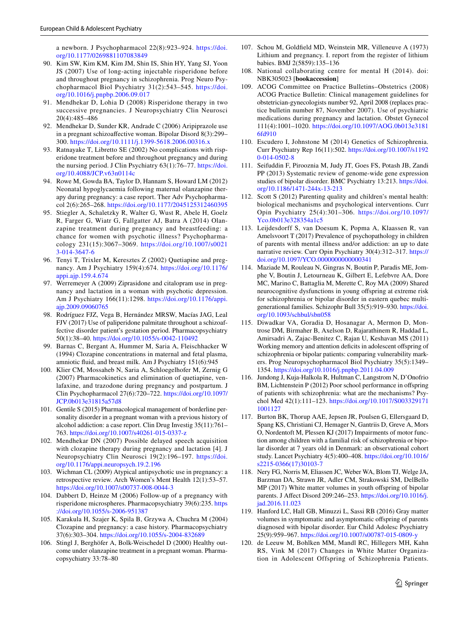a newborn. J Psychopharmacol 22(8):923–924. [https://doi.](https://doi.org/10.1177/0269881107083849) [org/10.1177/0269881107083849](https://doi.org/10.1177/0269881107083849)

- 90. Kim SW, Kim KM, Kim JM, Shin IS, Shin HY, Yang SJ, Yoon JS (2007) Use of long-acting injectable risperidone before and throughout pregnancy in schizophrenia. Prog Neuro Psychopharmacol Biol Psychiatry 31(2):543–545. [https://doi.](https://doi.org/10.1016/j.pnpbp.2006.09.017) [org/10.1016/j.pnpbp.2006.09.017](https://doi.org/10.1016/j.pnpbp.2006.09.017)
- 91. Mendhekar D, Lohia D (2008) Risperidone therapy in two successive pregnancies. J Neuropsychiatry Clin Neurosci 20(4):485–486
- 92. Mendhekar D, Sunder KR, Andrade C (2006) Aripiprazole use in a pregnant schizoafective woman. Bipolar Disord 8(3):299– 300.<https://doi.org/10.1111/j.1399-5618.2006.00316.x>
- 93. Ratnayake T, Libretto SE (2002) No complications with risperidone treatment before and throughout pregnancy and during the nursing period. J Clin Psychiatry 63(1):76–77. [https://doi.](https://doi.org/10.4088/JCP.v63n0114c) [org/10.4088/JCP.v63n0114c](https://doi.org/10.4088/JCP.v63n0114c)
- 94. Rowe M, Gowda BA, Taylor D, Hannam S, Howard LM (2012) Neonatal hypoglycaemia following maternal olanzapine therapy during pregnancy: a case report. Ther Adv Psychopharmacol 2(6):265–268.<https://doi.org/10.1177/2045125312460395>
- 95. Stiegler A, Schaletzky R, Walter G, Wust R, Abele H, Goelz R, Farger G, Wiatr G, Fallgatter AJ, Batra A (2014) Olanzapine treatment during pregnancy and breastfeeding: a chance for women with psychotic illness? Psychopharmacology 231(15):3067–3069. [https://doi.org/10.1007/s0021](https://doi.org/10.1007/s00213-014-3647-6) [3-014-3647-6](https://doi.org/10.1007/s00213-014-3647-6)
- 96. Tenyi T, Trixler M, Keresztes Z (2002) Quetiapine and pregnancy. Am J Psychiatry 159(4):674. [https://doi.org/10.1176/](https://doi.org/10.1176/appi.ajp.159.4.674) [appi.ajp.159.4.674](https://doi.org/10.1176/appi.ajp.159.4.674)
- 97. Werremeyer A (2009) Ziprasidone and citalopram use in pregnancy and lactation in a woman with psychotic depression. Am J Psychiatry 166(11):1298. [https://doi.org/10.1176/appi.](https://doi.org/10.1176/appi.ajp.2009.09060765) [ajp.2009.09060765](https://doi.org/10.1176/appi.ajp.2009.09060765)
- 98. Rodríguez FJZ, Vega B, Hernández MRSW, Macías JAG, Leal FJV (2017) Use of paliperidone palmitate throughout a schizoaffective disorder patient's gestation period. Pharmacopsychiatry 50(1):38–40.<https://doi.org/10.1055/s-0042-110492>
- 99. Barnas C, Bergant A, Hummer M, Saria A, Fleischhacker W (1994) Clozapine concentrations in maternal and fetal plasma, amniotic fuid, and breast milk. Am J Psychiatry 151(6):945
- 100. Klier CM, Mossaheb N, Saria A, Schloegelhofer M, Zernig G (2007) Pharmacokinetics and elimination of quetiapine, venlafaxine, and trazodone during pregnancy and postpartum. J Clin Psychopharmacol 27(6):720–722. [https://doi.org/10.1097/](https://doi.org/10.1097/JCP.0b013e31815a57d8) [JCP.0b013e31815a57d8](https://doi.org/10.1097/JCP.0b013e31815a57d8)
- <span id="page-20-0"></span>101. Gentile S (2015) Pharmacological management of borderline personality disorder in a pregnant woman with a previous history of alcohol addiction: a case report. Clin Drug Investig 35(11):761– 763. <https://doi.org/10.1007/s40261-015-0337-z>
- <span id="page-20-1"></span>102. Mendhekar DN (2007) Possible delayed speech acquisition with clozapine therapy during pregnancy and lactation [4]. J Neuropsychiatry Clin Neurosci 19(2):196–197. [https://doi.](https://doi.org/10.1176/appi.neuropsych.19.2.196) [org/10.1176/appi.neuropsych.19.2.196](https://doi.org/10.1176/appi.neuropsych.19.2.196)
- <span id="page-20-2"></span>103. Wichman CL (2009) Atypical antipsychotic use in pregnancy: a retrospective review. Arch Women's Ment Health 12(1):53–57. <https://doi.org/10.1007/s00737-008-0044-3>
- <span id="page-20-3"></span>104. Dabbert D, Heinze M (2006) Follow-up of a pregnancy with risperidone microspheres. Pharmacopsychiatry 39(6):235. [https](https://doi.org/10.1055/s-2006-951387) [://doi.org/10.1055/s-2006-951387](https://doi.org/10.1055/s-2006-951387)
- 105. Karakula H, Szajer K, Spila B, Grzywa A, Chuchra M (2004) Clozapine and pregnancy: a case history. Pharmacopsychiatry 37(6):303–304. <https://doi.org/10.1055/s-2004-832689>
- <span id="page-20-4"></span>106. Stingl J, Berghöfer A, Bolk-Weischedel D (2000) Healthy outcome under olanzapine treatment in a pregnant woman. Pharmacopsychiatry 33:78–80
- <span id="page-20-5"></span>107. Schou M, Goldfeld MD, Weinstein MR, Villeneuve A (1973) Lithium and pregnancy. I. report from the register of lithium babies. BMJ 2(5859):135–136
- <span id="page-20-6"></span>108. National collaborating centre for mental H (2014). doi: NBK305023 [**bookaccession**]
- <span id="page-20-7"></span>109. ACOG Committee on Practice Bulletins–Obstetrics (2008) ACOG Practice Bulletin: Clinical management guidelines for obstetrician-gynecologists number 92, April 2008 (replaces practice bulletin number 87, November 2007). Use of psychiatric medications during pregnancy and lactation. Obstet Gynecol 111(4):1001–1020. [https://doi.org/10.1097/AOG.0b013e3181](https://doi.org/10.1097/AOG.0b013e31816fd910) [6fd910](https://doi.org/10.1097/AOG.0b013e31816fd910)
- <span id="page-20-8"></span>110. Escudero I, Johnstone M (2014) Genetics of Schizophrenia. Curr Psychiatry Rep 16(11):502. [https://doi.org/10.1007/s1192](https://doi.org/10.1007/s11920-014-0502-8) [0-014-0502-8](https://doi.org/10.1007/s11920-014-0502-8)
- 111. Seifuddin F, Pirooznia M, Judy JT, Goes FS, Potash JB, Zandi PP (2013) Systematic review of genome-wide gene expression studies of bipolar disorder. BMC Psychiatry 13:213. [https://doi.](https://doi.org/10.1186/1471-244x-13-213) [org/10.1186/1471-244x-13-213](https://doi.org/10.1186/1471-244x-13-213)
- <span id="page-20-9"></span>112. Scott S (2012) Parenting quality and children's mental health: biological mechanisms and psychological interventions. Curr Opin Psychiatry 25(4):301–306. [https://doi.org/10.1097/](https://doi.org/10.1097/Yco.0b013e328354a1c5) [Yco.0b013e328354a1c5](https://doi.org/10.1097/Yco.0b013e328354a1c5)
- <span id="page-20-10"></span>113. Leijdesdorff S, van Doesum K, Popma A, Klaassen R, van Amelsvoort T (2017) Prevalence of psychopathology in children of parents with mental illness and/or addiction: an up to date narrative review. Curr Opin Psychiatry 30(4):312-317. [https://](https://doi.org/10.1097/YCO.0000000000000341) [doi.org/10.1097/YCO.0000000000000341](https://doi.org/10.1097/YCO.0000000000000341)
- <span id="page-20-11"></span>114. Maziade M, Rouleau N, Gingras N, Boutin P, Paradis ME, Jomphe V, Boutin J, Letourneau K, Gilbert E, Lefebvre AA, Dore MC, Marino C, Battaglia M, Merette C, Roy MA (2009) Shared neurocognitive dysfunctions in young ofspring at extreme risk for schizophrenia or bipolar disorder in eastern quebec multigenerational families. Schizophr Bull 35(5):919–930. [https://doi.](https://doi.org/10.1093/schbul/sbn058) [org/10.1093/schbul/sbn058](https://doi.org/10.1093/schbul/sbn058)
- 115. Diwadkar VA, Goradia D, Hosanagar A, Mermon D, Montrose DM, Birmaher B, Axelson D, Rajarathinem R, Haddad L, Amirsadri A, Zajac-Benitez C, Rajan U, Keshavan MS (2011) Working memory and attention deficits in adolescent offspring of schizophrenia or bipolar patients: comparing vulnerability markers. Prog Neuropsychopharmacol Biol Psychiatry 35(5):1349– 1354.<https://doi.org/10.1016/j.pnpbp.2011.04.009>
- <span id="page-20-12"></span>116. Jundong J, Kuja-Halkola R, Hultman C, Langstrom N, D'Onofrio BM, Lichtenstein P (2012) Poor school performance in offspring of patients with schizophrenia: what are the mechanisms? Psychol Med 42(1):111–123. [https://doi.org/10.1017/S003329171](https://doi.org/10.1017/S0033291711001127) [1001127](https://doi.org/10.1017/S0033291711001127)
- <span id="page-20-13"></span>117. Burton BK, Thorup AAE, Jepsen JR, Poulsen G, Ellersgaard D, Spang KS, Christiani CJ, Hemager N, Gantriis D, Greve A, Mors O, Nordentoft M, Plessen KJ (2017) Impairments of motor function among children with a familial risk of schizophrenia or bipolar disorder at 7 years old in Denmark: an observational cohort study. Lancet Psychiatry 4(5):400–408. [https://doi.org/10.1016/](https://doi.org/10.1016/s2215-0366(17)30103-7) [s2215-0366\(17\)30103-7](https://doi.org/10.1016/s2215-0366(17)30103-7)
- <span id="page-20-14"></span>118. Nery FG, Norris M, Eliassen JC, Weber WA, Blom TJ, Welge JA, Barzman DA, Strawn JR, Adler CM, Strakowski SM, DelBello MP (2017) White matter volumes in youth offspring of bipolar parents. J Afect Disord 209:246–253. [https://doi.org/10.1016/j.](https://doi.org/10.1016/j.jad.2016.11.023) [jad.2016.11.023](https://doi.org/10.1016/j.jad.2016.11.023)
- 119. Hanford LC, Hall GB, Minuzzi L, Sassi RB (2016) Gray matter volumes in symptomatic and asymptomatic ofspring of parents diagnosed with bipolar disorder. Eur Child Adolesc Psychiatry 25(9):959–967.<https://doi.org/10.1007/s00787-015-0809-y>
- 120. de Leeuw M, Bohlken MM, Mandl RC, Hillegers MH, Kahn RS, Vink M (2017) Changes in White Matter Organization in Adolescent Offspring of Schizophrenia Patients.